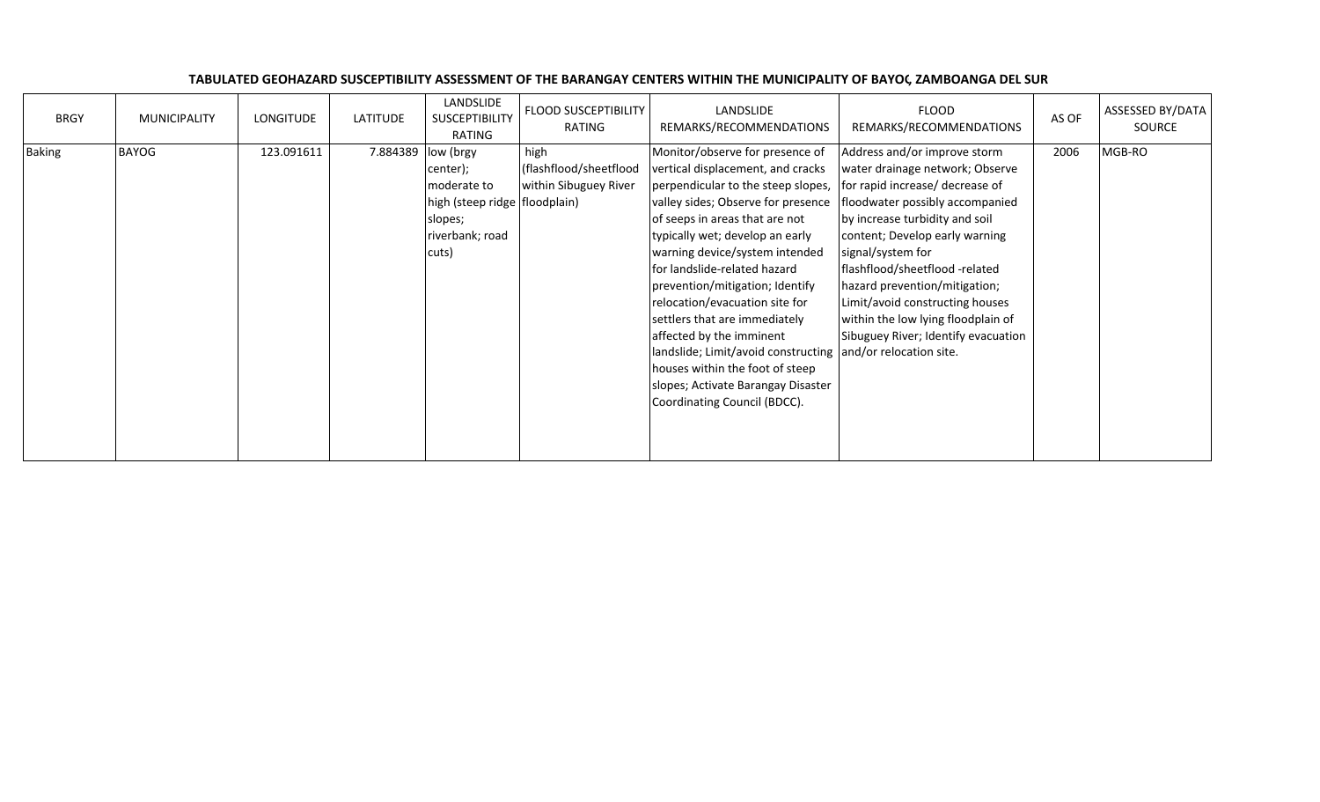| <b>BRGY</b>   | <b>MUNICIPALITY</b> | LONGITUDE  | LATITUDE            | LANDSLIDE<br>SUSCEPTIBILITY<br>RATING                                                             | <b>FLOOD SUSCEPTIBILITY</b><br>RATING                   | LANDSLIDE<br>REMARKS/RECOMMENDATIONS                                                                                                                                                                                                                                                                                                                                                                                                                                                                                                                                                              | <b>FLOOD</b><br>REMARKS/RECOMMENDATIONS                                                                                                                                                                                                                                                                                                                                                                           | AS OF | ASSESSED BY/DATA<br>SOURCE |
|---------------|---------------------|------------|---------------------|---------------------------------------------------------------------------------------------------|---------------------------------------------------------|---------------------------------------------------------------------------------------------------------------------------------------------------------------------------------------------------------------------------------------------------------------------------------------------------------------------------------------------------------------------------------------------------------------------------------------------------------------------------------------------------------------------------------------------------------------------------------------------------|-------------------------------------------------------------------------------------------------------------------------------------------------------------------------------------------------------------------------------------------------------------------------------------------------------------------------------------------------------------------------------------------------------------------|-------|----------------------------|
| <b>Baking</b> | <b>BAYOG</b>        | 123.091611 | 7.884389  low (brgy | center);<br>moderate to<br>high (steep ridge   floodplain)<br>slopes;<br>riverbank; road<br>cuts) | high<br>(flashflood/sheetflood<br>within Sibuguey River | Monitor/observe for presence of<br>vertical displacement, and cracks<br>perpendicular to the steep slopes,<br>valley sides; Observe for presence<br>of seeps in areas that are not<br>typically wet; develop an early<br>warning device/system intended<br>for landslide-related hazard<br>prevention/mitigation; Identify<br>relocation/evacuation site for<br>settlers that are immediately<br>affected by the imminent<br>landslide; Limit/avoid constructing and/or relocation site.<br>houses within the foot of steep<br>slopes; Activate Barangay Disaster<br>Coordinating Council (BDCC). | Address and/or improve storm<br>water drainage network; Observe<br>for rapid increase/ decrease of<br>floodwater possibly accompanied<br>by increase turbidity and soil<br>content; Develop early warning<br>signal/system for<br>flashflood/sheetflood -related<br>hazard prevention/mitigation;<br>Limit/avoid constructing houses<br>within the low lying floodplain of<br>Sibuguey River; Identify evacuation | 2006  | MGB-RO                     |

## TABULATED GEOHAZARD SUSCEPTIBILITY ASSESSMENT OF THE BARANGAY CENTERS WITHIN THE MUNICIPALITY OF BAYOG, ZAMBOANGA DEL SUR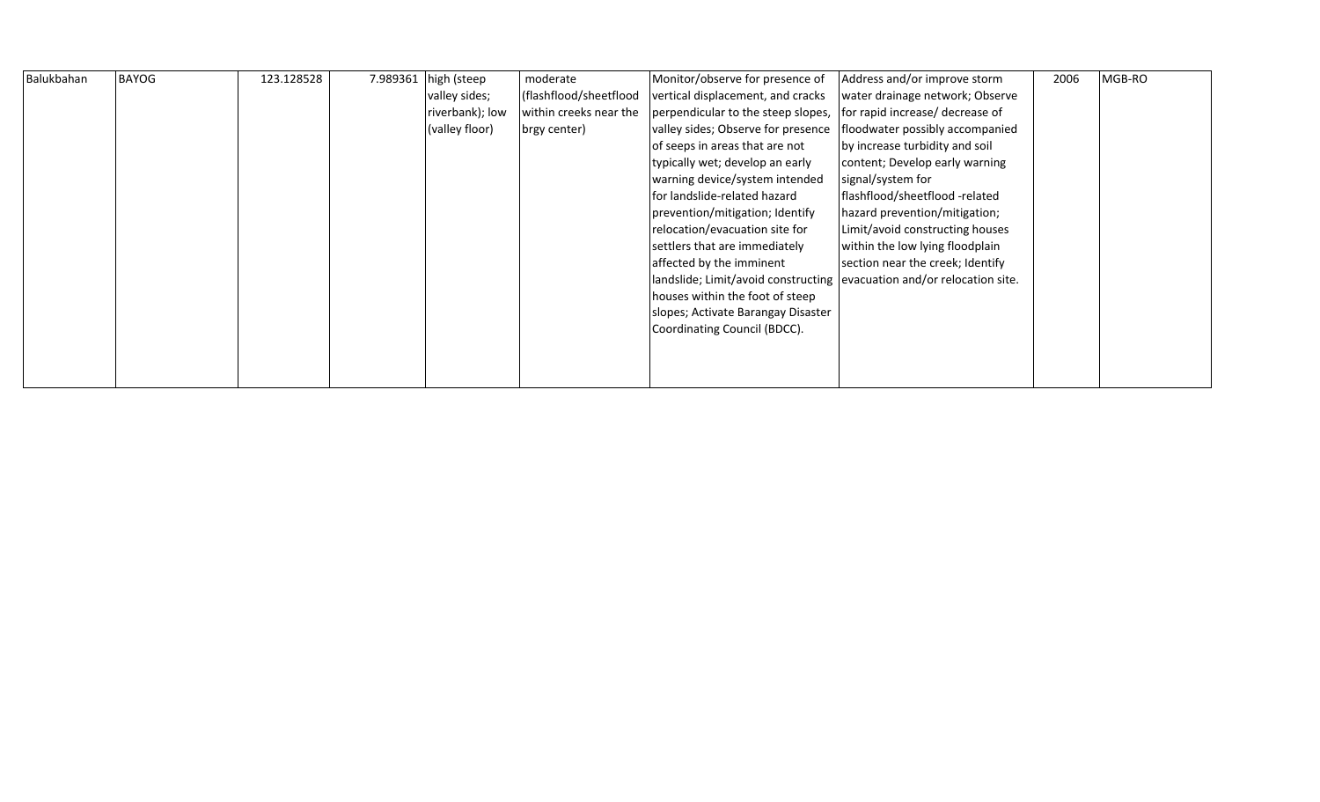| Balukbahan | <b>BAYOG</b> | 123.128528 | 7.989361 | high (steep     | moderate               | Monitor/observe for presence of                                          | Address and/or improve storm     | 2006 | MGB-RO |
|------------|--------------|------------|----------|-----------------|------------------------|--------------------------------------------------------------------------|----------------------------------|------|--------|
|            |              |            |          | valley sides;   | (flashflood/sheetflood | vertical displacement, and cracks                                        | water drainage network; Observe  |      |        |
|            |              |            |          | riverbank); low | within creeks near the | perpendicular to the steep slopes,                                       | for rapid increase/ decrease of  |      |        |
|            |              |            |          | (valley floor)  | brgy center)           | valley sides; Observe for presence                                       | floodwater possibly accompanied  |      |        |
|            |              |            |          |                 |                        | of seeps in areas that are not                                           | by increase turbidity and soil   |      |        |
|            |              |            |          |                 |                        | typically wet; develop an early                                          | content; Develop early warning   |      |        |
|            |              |            |          |                 |                        | warning device/system intended                                           | signal/system for                |      |        |
|            |              |            |          |                 |                        | lfor landslide-related hazard                                            | flashflood/sheetflood -related   |      |        |
|            |              |            |          |                 |                        | prevention/mitigation; Identify                                          | hazard prevention/mitigation;    |      |        |
|            |              |            |          |                 |                        | relocation/evacuation site for                                           | Limit/avoid constructing houses  |      |        |
|            |              |            |          |                 |                        | settlers that are immediately                                            | within the low lying floodplain  |      |        |
|            |              |            |          |                 |                        | affected by the imminent                                                 | section near the creek; Identify |      |        |
|            |              |            |          |                 |                        | landslide; Limit/avoid constructing   evacuation and/or relocation site. |                                  |      |        |
|            |              |            |          |                 |                        | houses within the foot of steep                                          |                                  |      |        |
|            |              |            |          |                 |                        | slopes; Activate Barangay Disaster                                       |                                  |      |        |
|            |              |            |          |                 |                        | Coordinating Council (BDCC).                                             |                                  |      |        |
|            |              |            |          |                 |                        |                                                                          |                                  |      |        |
|            |              |            |          |                 |                        |                                                                          |                                  |      |        |
|            |              |            |          |                 |                        |                                                                          |                                  |      |        |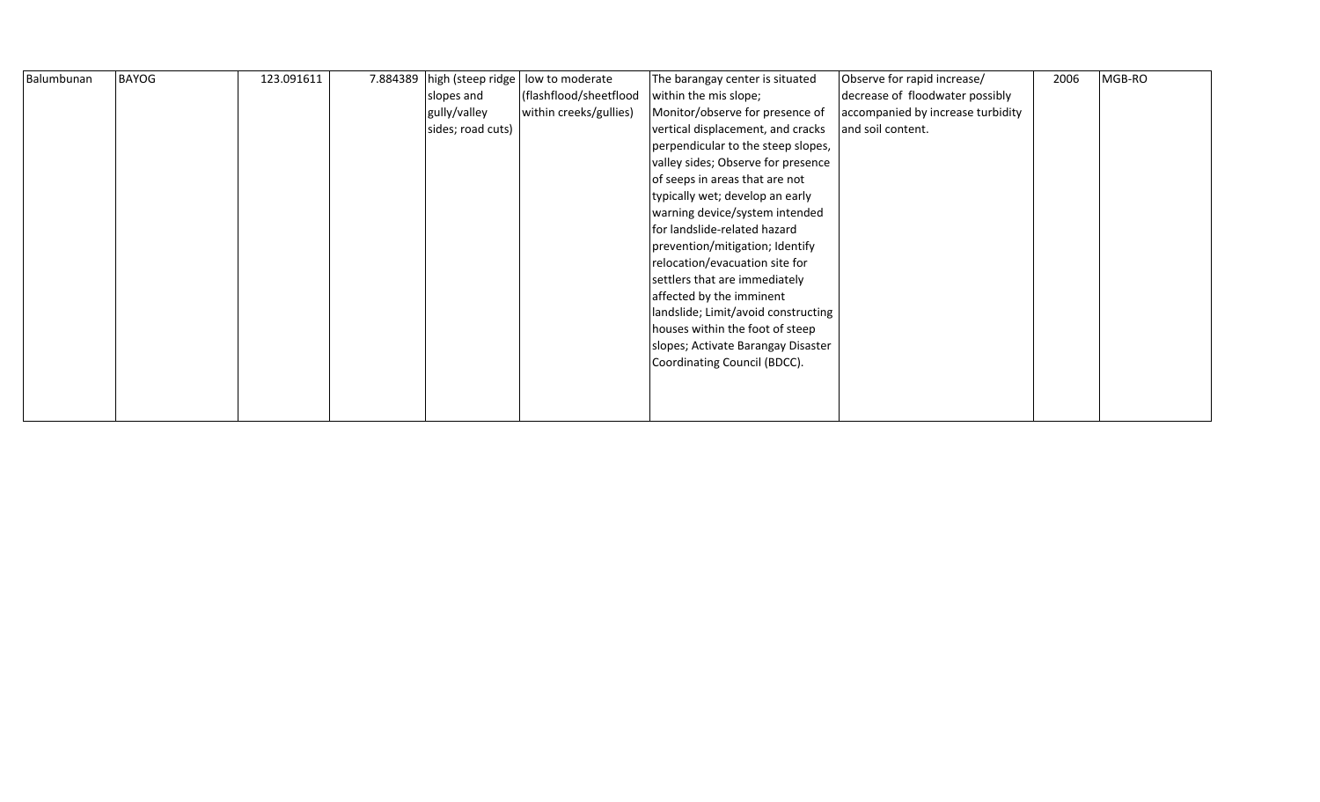| Balumbunan | <b>BAYOG</b> | 123.091611 | 7.884389 high (steep ridge | low to moderate        | The barangay center is situated     | Observe for rapid increase/       | 2006 | MGB-RO |
|------------|--------------|------------|----------------------------|------------------------|-------------------------------------|-----------------------------------|------|--------|
|            |              |            | slopes and                 | (flashflood/sheetflood | within the mis slope;               | decrease of floodwater possibly   |      |        |
|            |              |            | gully/valley               | within creeks/gullies) | Monitor/observe for presence of     | accompanied by increase turbidity |      |        |
|            |              |            | sides; road cuts)          |                        | vertical displacement, and cracks   | and soil content.                 |      |        |
|            |              |            |                            |                        | perpendicular to the steep slopes,  |                                   |      |        |
|            |              |            |                            |                        | valley sides; Observe for presence  |                                   |      |        |
|            |              |            |                            |                        | of seeps in areas that are not      |                                   |      |        |
|            |              |            |                            |                        | typically wet; develop an early     |                                   |      |        |
|            |              |            |                            |                        | warning device/system intended      |                                   |      |        |
|            |              |            |                            |                        | for landslide-related hazard        |                                   |      |        |
|            |              |            |                            |                        | prevention/mitigation; Identify     |                                   |      |        |
|            |              |            |                            |                        | relocation/evacuation site for      |                                   |      |        |
|            |              |            |                            |                        | settlers that are immediately       |                                   |      |        |
|            |              |            |                            |                        | affected by the imminent            |                                   |      |        |
|            |              |            |                            |                        | landslide; Limit/avoid constructing |                                   |      |        |
|            |              |            |                            |                        | houses within the foot of steep     |                                   |      |        |
|            |              |            |                            |                        | slopes; Activate Barangay Disaster  |                                   |      |        |
|            |              |            |                            |                        | Coordinating Council (BDCC).        |                                   |      |        |
|            |              |            |                            |                        |                                     |                                   |      |        |
|            |              |            |                            |                        |                                     |                                   |      |        |
|            |              |            |                            |                        |                                     |                                   |      |        |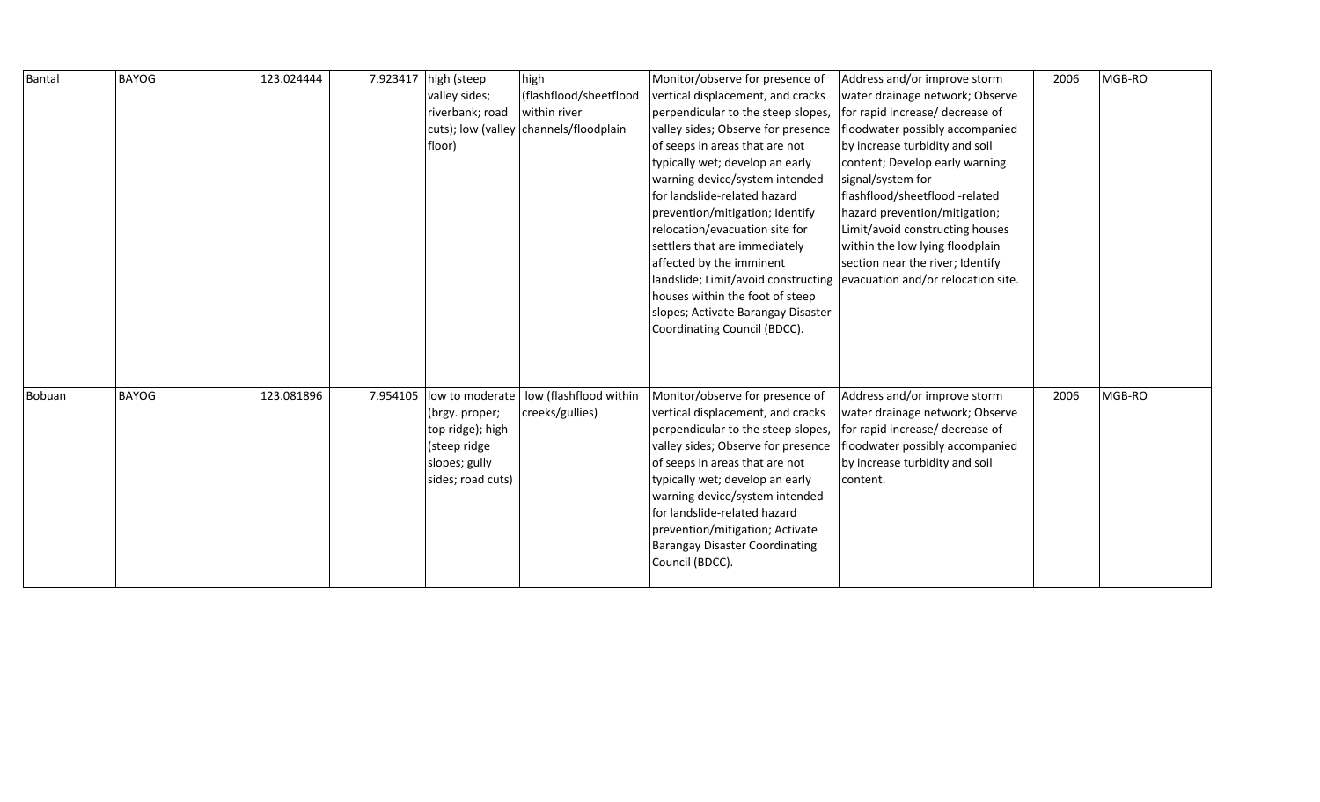| Bantal | <b>BAYOG</b> | 123.024444 | 7.923417 | high (steep       | high                                   | Monitor/observe for presence of                                        | Address and/or improve storm     | 2006 | MGB-RO |
|--------|--------------|------------|----------|-------------------|----------------------------------------|------------------------------------------------------------------------|----------------------------------|------|--------|
|        |              |            |          | valley sides;     | (flashflood/sheetflood                 | vertical displacement, and cracks                                      | water drainage network; Observe  |      |        |
|        |              |            |          | riverbank; road   | within river                           | perpendicular to the steep slopes,                                     | for rapid increase/ decrease of  |      |        |
|        |              |            |          |                   | cuts); low (valley channels/floodplain | valley sides; Observe for presence                                     | floodwater possibly accompanied  |      |        |
|        |              |            |          | floor)            |                                        | of seeps in areas that are not                                         | by increase turbidity and soil   |      |        |
|        |              |            |          |                   |                                        | typically wet; develop an early                                        | content; Develop early warning   |      |        |
|        |              |            |          |                   |                                        | warning device/system intended                                         | signal/system for                |      |        |
|        |              |            |          |                   |                                        | for landslide-related hazard                                           | flashflood/sheetflood -related   |      |        |
|        |              |            |          |                   |                                        | prevention/mitigation; Identify                                        | hazard prevention/mitigation;    |      |        |
|        |              |            |          |                   |                                        | relocation/evacuation site for                                         | Limit/avoid constructing houses  |      |        |
|        |              |            |          |                   |                                        | settlers that are immediately                                          | within the low lying floodplain  |      |        |
|        |              |            |          |                   |                                        | affected by the imminent                                               | section near the river; Identify |      |        |
|        |              |            |          |                   |                                        | landslide; Limit/avoid constructing evacuation and/or relocation site. |                                  |      |        |
|        |              |            |          |                   |                                        | houses within the foot of steep                                        |                                  |      |        |
|        |              |            |          |                   |                                        | slopes; Activate Barangay Disaster                                     |                                  |      |        |
|        |              |            |          |                   |                                        | Coordinating Council (BDCC).                                           |                                  |      |        |
|        |              |            |          |                   |                                        |                                                                        |                                  |      |        |
|        |              |            |          |                   |                                        |                                                                        |                                  |      |        |
|        |              |            |          |                   |                                        |                                                                        |                                  |      |        |
| Bobuan | <b>BAYOG</b> | 123.081896 | 7.954105 | low to moderate   | low (flashflood within                 | Monitor/observe for presence of                                        | Address and/or improve storm     | 2006 | MGB-RO |
|        |              |            |          | (brgy. proper;    | creeks/gullies)                        | vertical displacement, and cracks                                      | water drainage network; Observe  |      |        |
|        |              |            |          | top ridge); high  |                                        | perpendicular to the steep slopes,                                     | for rapid increase/ decrease of  |      |        |
|        |              |            |          | (steep ridge      |                                        | valley sides; Observe for presence                                     | floodwater possibly accompanied  |      |        |
|        |              |            |          | slopes; gully     |                                        | of seeps in areas that are not                                         | by increase turbidity and soil   |      |        |
|        |              |            |          | sides; road cuts) |                                        | typically wet; develop an early                                        | content.                         |      |        |
|        |              |            |          |                   |                                        | warning device/system intended                                         |                                  |      |        |
|        |              |            |          |                   |                                        | for landslide-related hazard                                           |                                  |      |        |
|        |              |            |          |                   |                                        | prevention/mitigation; Activate                                        |                                  |      |        |
|        |              |            |          |                   |                                        | <b>Barangay Disaster Coordinating</b>                                  |                                  |      |        |
|        |              |            |          |                   |                                        | Council (BDCC).                                                        |                                  |      |        |
|        |              |            |          |                   |                                        |                                                                        |                                  |      |        |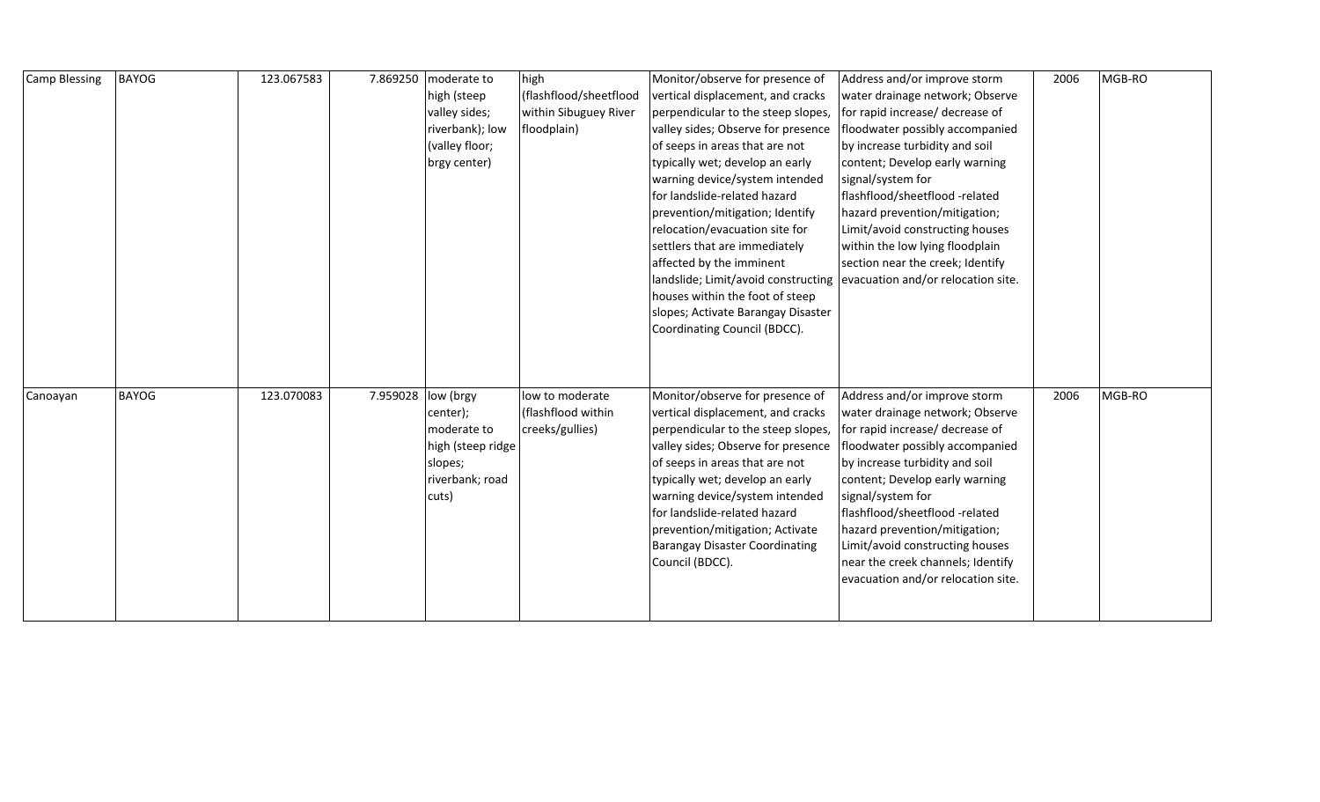| <b>Camp Blessing</b> | <b>BAYOG</b> | 123.067583 | 7.869250 | moderate to       | high                   | Monitor/observe for presence of                                        | Address and/or improve storm       | 2006 | MGB-RO |
|----------------------|--------------|------------|----------|-------------------|------------------------|------------------------------------------------------------------------|------------------------------------|------|--------|
|                      |              |            |          | high (steep       | (flashflood/sheetflood | vertical displacement, and cracks                                      | water drainage network; Observe    |      |        |
|                      |              |            |          | valley sides;     | within Sibuguey River  | perpendicular to the steep slopes,                                     | for rapid increase/ decrease of    |      |        |
|                      |              |            |          | riverbank); low   | floodplain)            | valley sides; Observe for presence                                     | floodwater possibly accompanied    |      |        |
|                      |              |            |          | (valley floor;    |                        | of seeps in areas that are not                                         | by increase turbidity and soil     |      |        |
|                      |              |            |          | brgy center)      |                        | typically wet; develop an early                                        | content; Develop early warning     |      |        |
|                      |              |            |          |                   |                        | warning device/system intended                                         | signal/system for                  |      |        |
|                      |              |            |          |                   |                        | for landslide-related hazard                                           | flashflood/sheetflood -related     |      |        |
|                      |              |            |          |                   |                        | prevention/mitigation; Identify                                        | hazard prevention/mitigation;      |      |        |
|                      |              |            |          |                   |                        | relocation/evacuation site for                                         | Limit/avoid constructing houses    |      |        |
|                      |              |            |          |                   |                        | settlers that are immediately                                          | within the low lying floodplain    |      |        |
|                      |              |            |          |                   |                        | affected by the imminent                                               | section near the creek; Identify   |      |        |
|                      |              |            |          |                   |                        | landslide; Limit/avoid constructing evacuation and/or relocation site. |                                    |      |        |
|                      |              |            |          |                   |                        | houses within the foot of steep                                        |                                    |      |        |
|                      |              |            |          |                   |                        | slopes; Activate Barangay Disaster                                     |                                    |      |        |
|                      |              |            |          |                   |                        | Coordinating Council (BDCC).                                           |                                    |      |        |
|                      |              |            |          |                   |                        |                                                                        |                                    |      |        |
|                      |              |            |          |                   |                        |                                                                        |                                    |      |        |
|                      |              |            |          |                   |                        |                                                                        |                                    |      |        |
| Canoayan             | <b>BAYOG</b> | 123.070083 | 7.959028 | low (brgy         | low to moderate        | Monitor/observe for presence of                                        | Address and/or improve storm       | 2006 | MGB-RO |
|                      |              |            |          | center);          | (flashflood within     | vertical displacement, and cracks                                      | water drainage network; Observe    |      |        |
|                      |              |            |          | moderate to       | creeks/gullies)        | perpendicular to the steep slopes,                                     | for rapid increase/ decrease of    |      |        |
|                      |              |            |          | high (steep ridge |                        | valley sides; Observe for presence                                     | floodwater possibly accompanied    |      |        |
|                      |              |            |          | slopes;           |                        | of seeps in areas that are not                                         | by increase turbidity and soil     |      |        |
|                      |              |            |          | riverbank; road   |                        | typically wet; develop an early                                        | content; Develop early warning     |      |        |
|                      |              |            |          | cuts)             |                        | warning device/system intended                                         | signal/system for                  |      |        |
|                      |              |            |          |                   |                        | for landslide-related hazard                                           | flashflood/sheetflood -related     |      |        |
|                      |              |            |          |                   |                        | prevention/mitigation; Activate                                        | hazard prevention/mitigation;      |      |        |
|                      |              |            |          |                   |                        | <b>Barangay Disaster Coordinating</b>                                  | Limit/avoid constructing houses    |      |        |
|                      |              |            |          |                   |                        | Council (BDCC).                                                        | near the creek channels; Identify  |      |        |
|                      |              |            |          |                   |                        |                                                                        | evacuation and/or relocation site. |      |        |
|                      |              |            |          |                   |                        |                                                                        |                                    |      |        |
|                      |              |            |          |                   |                        |                                                                        |                                    |      |        |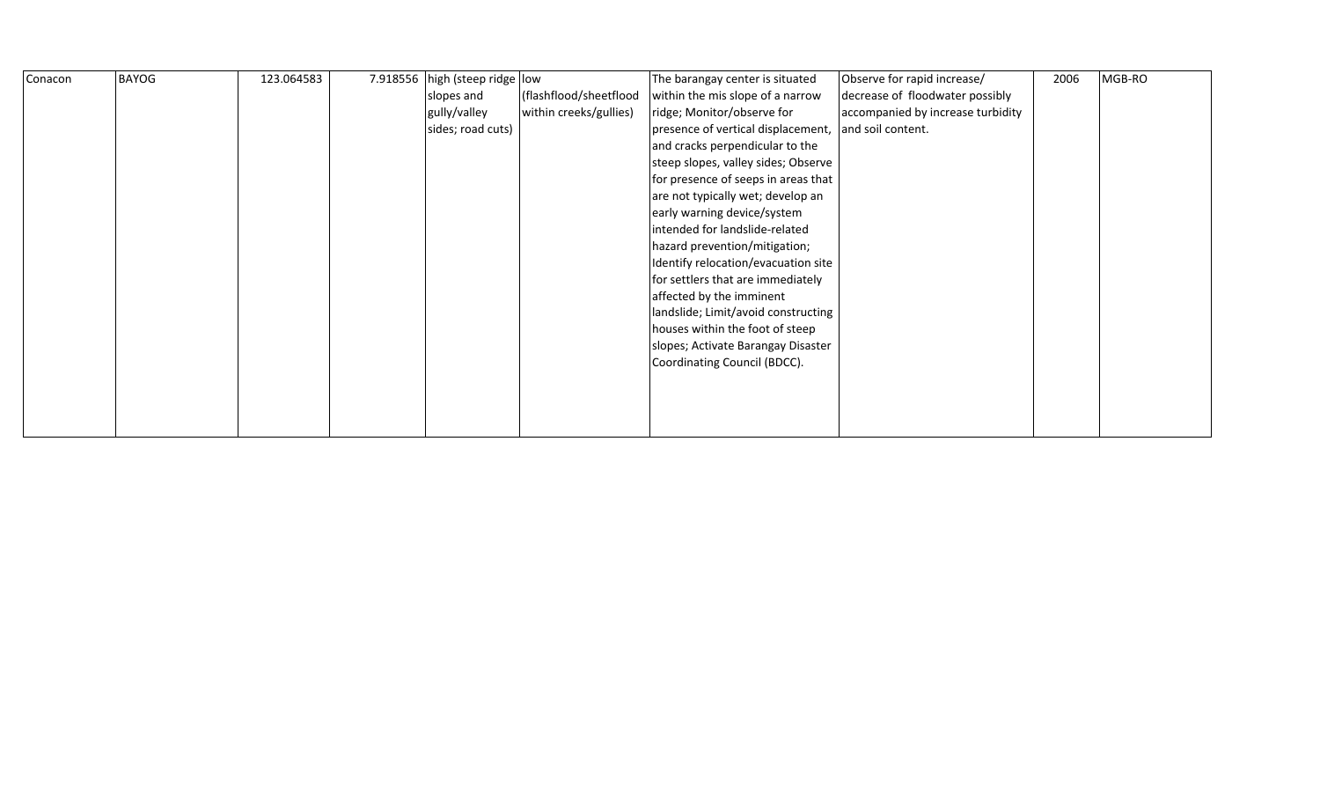| Conacon | <b>BAYOG</b> | 123.064583 | 7.918556 high (steep ridge low |                        | The barangay center is situated     | Observe for rapid increase/       | 2006 | MGB-RO |
|---------|--------------|------------|--------------------------------|------------------------|-------------------------------------|-----------------------------------|------|--------|
|         |              |            | slopes and                     | (flashflood/sheetflood | within the mis slope of a narrow    | decrease of floodwater possibly   |      |        |
|         |              |            | gully/valley                   | within creeks/gullies) | ridge; Monitor/observe for          | accompanied by increase turbidity |      |        |
|         |              |            | sides; road cuts)              |                        | presence of vertical displacement,  | and soil content.                 |      |        |
|         |              |            |                                |                        | and cracks perpendicular to the     |                                   |      |        |
|         |              |            |                                |                        | steep slopes, valley sides; Observe |                                   |      |        |
|         |              |            |                                |                        | for presence of seeps in areas that |                                   |      |        |
|         |              |            |                                |                        | are not typically wet; develop an   |                                   |      |        |
|         |              |            |                                |                        | early warning device/system         |                                   |      |        |
|         |              |            |                                |                        | intended for landslide-related      |                                   |      |        |
|         |              |            |                                |                        | hazard prevention/mitigation;       |                                   |      |        |
|         |              |            |                                |                        | Identify relocation/evacuation site |                                   |      |        |
|         |              |            |                                |                        | for settlers that are immediately   |                                   |      |        |
|         |              |            |                                |                        | affected by the imminent            |                                   |      |        |
|         |              |            |                                |                        | landslide; Limit/avoid constructing |                                   |      |        |
|         |              |            |                                |                        | houses within the foot of steep     |                                   |      |        |
|         |              |            |                                |                        | slopes; Activate Barangay Disaster  |                                   |      |        |
|         |              |            |                                |                        | Coordinating Council (BDCC).        |                                   |      |        |
|         |              |            |                                |                        |                                     |                                   |      |        |
|         |              |            |                                |                        |                                     |                                   |      |        |
|         |              |            |                                |                        |                                     |                                   |      |        |
|         |              |            |                                |                        |                                     |                                   |      |        |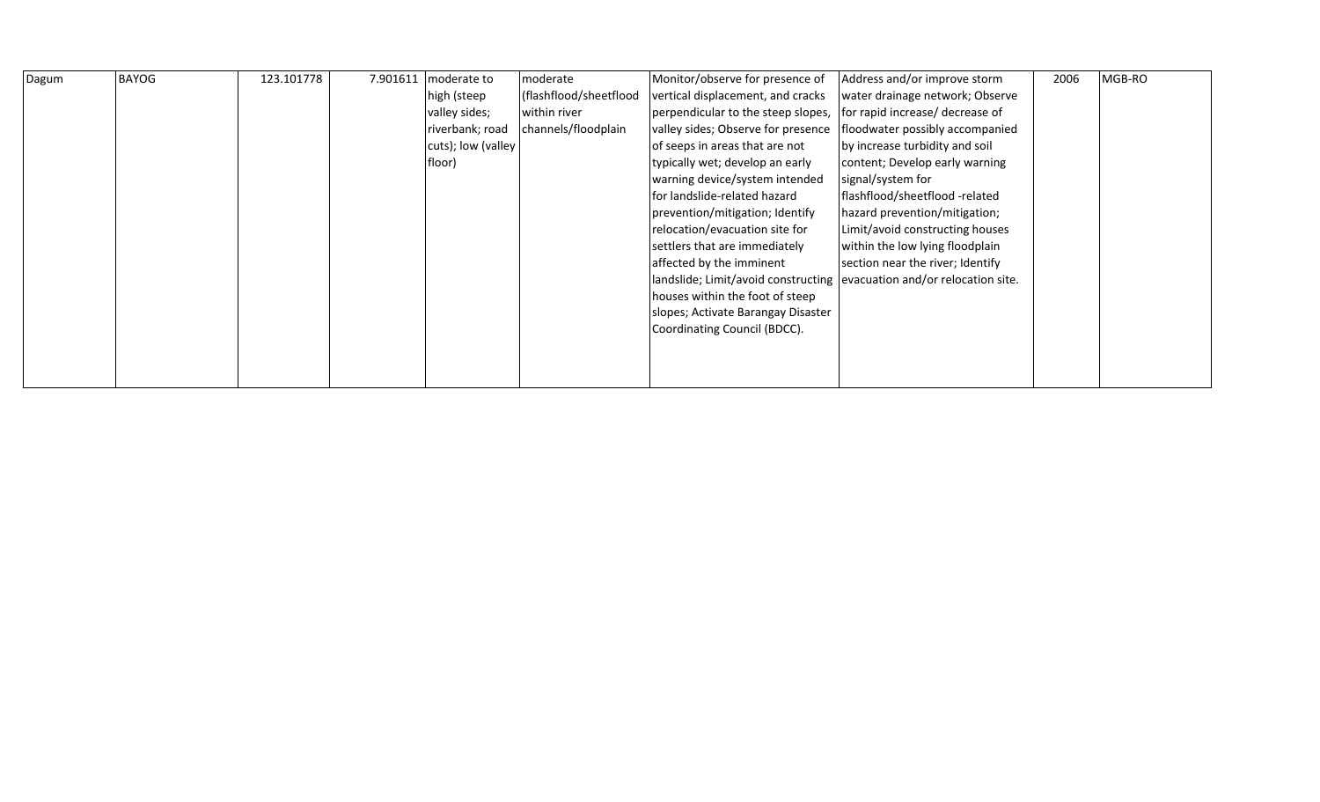| Dagum | <b>BAYOG</b> | 123.101778 | 7.901611 | moderate to        | moderate               | Monitor/observe for presence of                                        | Address and/or improve storm     | 2006 | MGB-RO |
|-------|--------------|------------|----------|--------------------|------------------------|------------------------------------------------------------------------|----------------------------------|------|--------|
|       |              |            |          | high (steep        | (flashflood/sheetflood | vertical displacement, and cracks                                      | water drainage network; Observe  |      |        |
|       |              |            |          | valley sides;      | within river           | perpendicular to the steep slopes,                                     | for rapid increase/ decrease of  |      |        |
|       |              |            |          | riverbank; road    | channels/floodplain    | valley sides; Observe for presence                                     | floodwater possibly accompanied  |      |        |
|       |              |            |          | cuts); low (valley |                        | of seeps in areas that are not                                         | by increase turbidity and soil   |      |        |
|       |              |            |          | floor)             |                        | typically wet; develop an early                                        | content; Develop early warning   |      |        |
|       |              |            |          |                    |                        | warning device/system intended                                         | signal/system for                |      |        |
|       |              |            |          |                    |                        | for landslide-related hazard                                           | flashflood/sheetflood -related   |      |        |
|       |              |            |          |                    |                        | prevention/mitigation; Identify                                        | hazard prevention/mitigation;    |      |        |
|       |              |            |          |                    |                        | relocation/evacuation site for                                         | Limit/avoid constructing houses  |      |        |
|       |              |            |          |                    |                        | settlers that are immediately                                          | within the low lying floodplain  |      |        |
|       |              |            |          |                    |                        | affected by the imminent                                               | section near the river; Identify |      |        |
|       |              |            |          |                    |                        | landslide; Limit/avoid constructing evacuation and/or relocation site. |                                  |      |        |
|       |              |            |          |                    |                        | houses within the foot of steep                                        |                                  |      |        |
|       |              |            |          |                    |                        | slopes; Activate Barangay Disaster                                     |                                  |      |        |
|       |              |            |          |                    |                        | Coordinating Council (BDCC).                                           |                                  |      |        |
|       |              |            |          |                    |                        |                                                                        |                                  |      |        |
|       |              |            |          |                    |                        |                                                                        |                                  |      |        |
|       |              |            |          |                    |                        |                                                                        |                                  |      |        |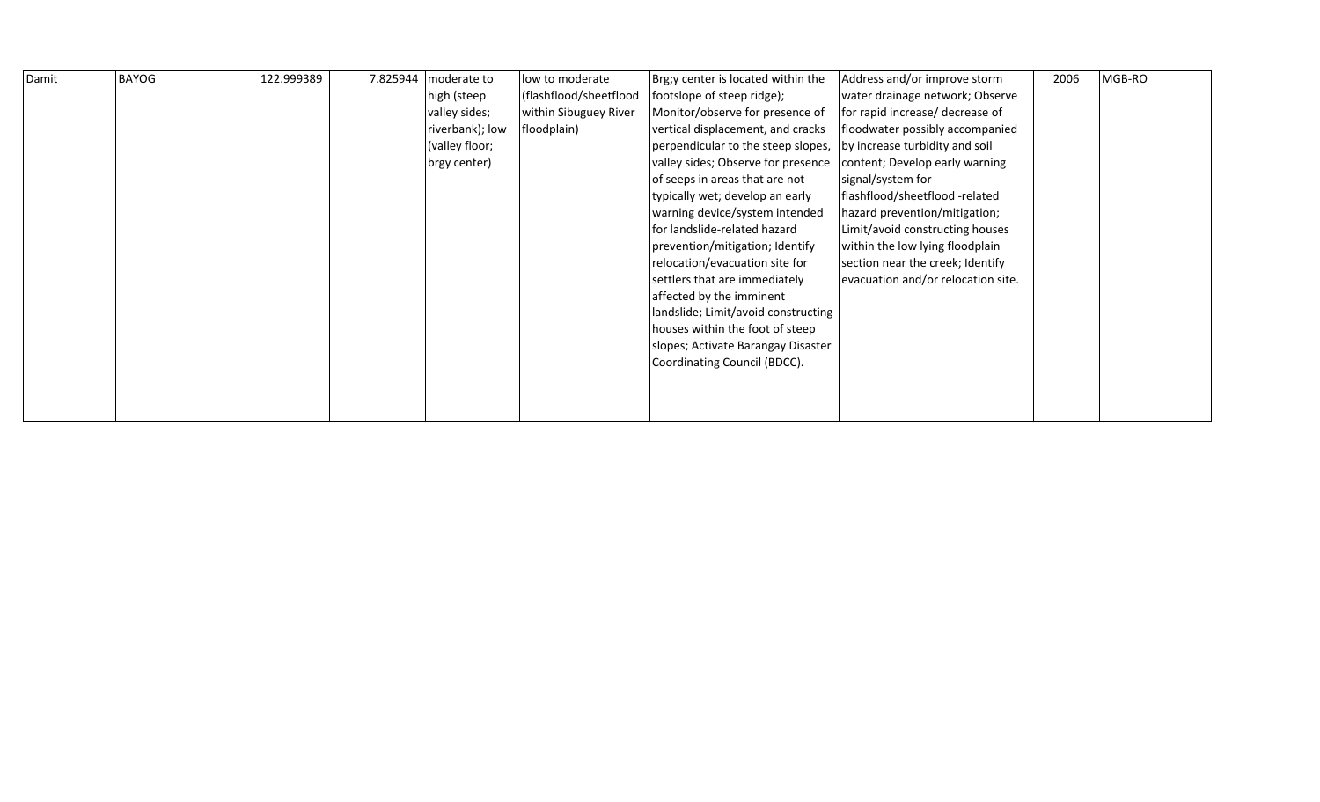| Damit | <b>BAYOG</b> | 122.999389 | 7.825944 | moderate to     | low to moderate        | Brg;y center is located within the  | Address and/or improve storm       | 2006 | MGB-RO |
|-------|--------------|------------|----------|-----------------|------------------------|-------------------------------------|------------------------------------|------|--------|
|       |              |            |          | high (steep     | (flashflood/sheetflood | footslope of steep ridge);          | water drainage network; Observe    |      |        |
|       |              |            |          |                 |                        |                                     |                                    |      |        |
|       |              |            |          | valley sides;   | within Sibuguey River  | Monitor/observe for presence of     | for rapid increase/ decrease of    |      |        |
|       |              |            |          | riverbank); low | floodplain)            | vertical displacement, and cracks   | floodwater possibly accompanied    |      |        |
|       |              |            |          | (valley floor;  |                        | perpendicular to the steep slopes,  | by increase turbidity and soil     |      |        |
|       |              |            |          | brgy center)    |                        | valley sides; Observe for presence  | content; Develop early warning     |      |        |
|       |              |            |          |                 |                        | of seeps in areas that are not      | signal/system for                  |      |        |
|       |              |            |          |                 |                        | typically wet; develop an early     | flashflood/sheetflood -related     |      |        |
|       |              |            |          |                 |                        | warning device/system intended      | hazard prevention/mitigation;      |      |        |
|       |              |            |          |                 |                        | for landslide-related hazard        | Limit/avoid constructing houses    |      |        |
|       |              |            |          |                 |                        | prevention/mitigation; Identify     | within the low lying floodplain    |      |        |
|       |              |            |          |                 |                        | relocation/evacuation site for      | section near the creek; Identify   |      |        |
|       |              |            |          |                 |                        | settlers that are immediately       | evacuation and/or relocation site. |      |        |
|       |              |            |          |                 |                        | affected by the imminent            |                                    |      |        |
|       |              |            |          |                 |                        | landslide; Limit/avoid constructing |                                    |      |        |
|       |              |            |          |                 |                        | houses within the foot of steep     |                                    |      |        |
|       |              |            |          |                 |                        | slopes; Activate Barangay Disaster  |                                    |      |        |
|       |              |            |          |                 |                        | Coordinating Council (BDCC).        |                                    |      |        |
|       |              |            |          |                 |                        |                                     |                                    |      |        |
|       |              |            |          |                 |                        |                                     |                                    |      |        |
|       |              |            |          |                 |                        |                                     |                                    |      |        |
|       |              |            |          |                 |                        |                                     |                                    |      |        |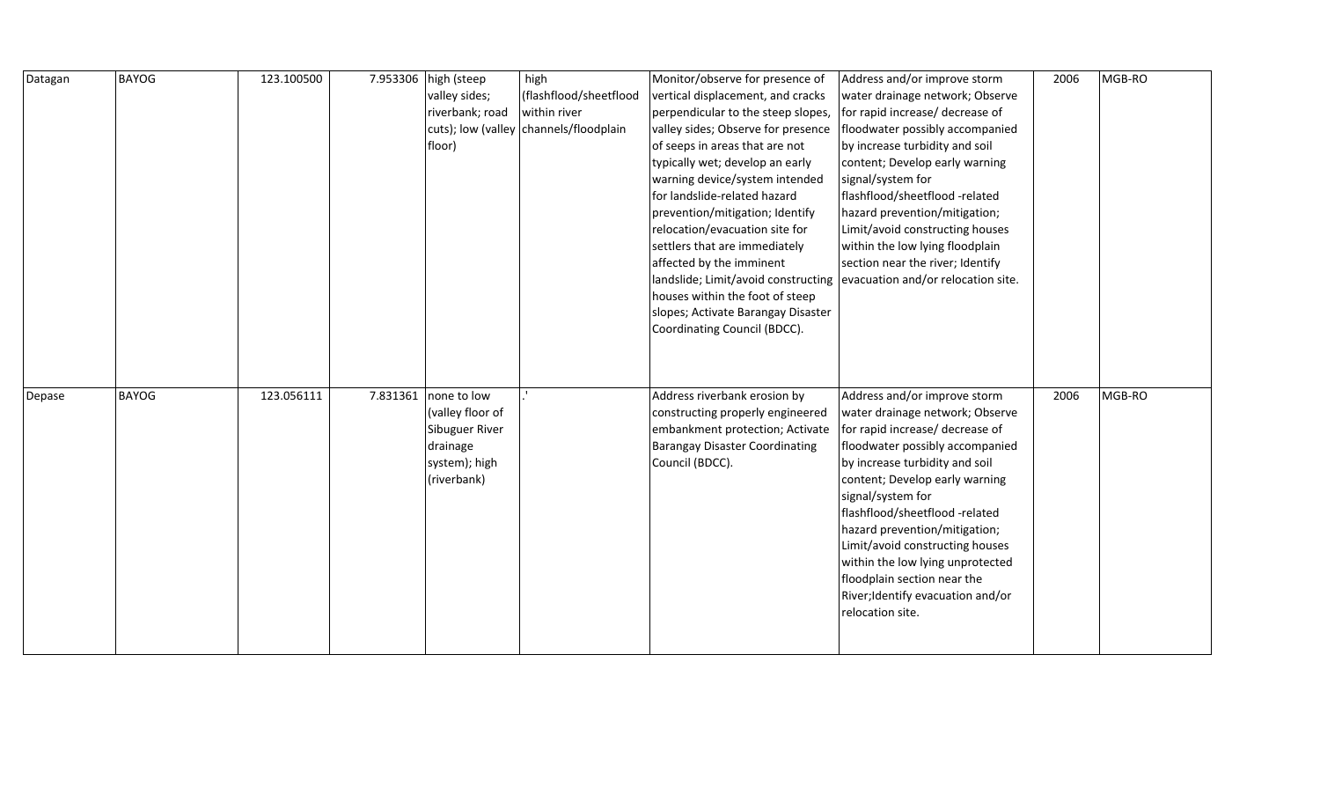| Datagan | <b>BAYOG</b> | 123.100500 | 7.953306 high (steep | high                                   | Monitor/observe for presence of                                        | Address and/or improve storm                                    | 2006 | MGB-RO |
|---------|--------------|------------|----------------------|----------------------------------------|------------------------------------------------------------------------|-----------------------------------------------------------------|------|--------|
|         |              |            | valley sides;        | (flashflood/sheetflood                 | vertical displacement, and cracks                                      | water drainage network; Observe                                 |      |        |
|         |              |            | riverbank; road      | within river                           | perpendicular to the steep slopes,                                     | for rapid increase/ decrease of                                 |      |        |
|         |              |            |                      | cuts); low (valley channels/floodplain | valley sides; Observe for presence                                     | floodwater possibly accompanied                                 |      |        |
|         |              |            | floor)               |                                        | of seeps in areas that are not                                         | by increase turbidity and soil                                  |      |        |
|         |              |            |                      |                                        | typically wet; develop an early                                        | content; Develop early warning                                  |      |        |
|         |              |            |                      |                                        | warning device/system intended                                         | signal/system for                                               |      |        |
|         |              |            |                      |                                        | for landslide-related hazard                                           | flashflood/sheetflood -related                                  |      |        |
|         |              |            |                      |                                        | prevention/mitigation; Identify                                        | hazard prevention/mitigation;                                   |      |        |
|         |              |            |                      |                                        | relocation/evacuation site for                                         | Limit/avoid constructing houses                                 |      |        |
|         |              |            |                      |                                        | settlers that are immediately                                          | within the low lying floodplain                                 |      |        |
|         |              |            |                      |                                        | affected by the imminent                                               | section near the river; Identify                                |      |        |
|         |              |            |                      |                                        | landslide; Limit/avoid constructing evacuation and/or relocation site. |                                                                 |      |        |
|         |              |            |                      |                                        | houses within the foot of steep                                        |                                                                 |      |        |
|         |              |            |                      |                                        | slopes; Activate Barangay Disaster                                     |                                                                 |      |        |
|         |              |            |                      |                                        | Coordinating Council (BDCC).                                           |                                                                 |      |        |
|         |              |            |                      |                                        |                                                                        |                                                                 |      |        |
|         |              |            |                      |                                        |                                                                        |                                                                 |      |        |
|         |              |            |                      |                                        |                                                                        |                                                                 |      |        |
| Depase  | <b>BAYOG</b> | 123.056111 | 7.831361 none to low |                                        | Address riverbank erosion by                                           | Address and/or improve storm                                    | 2006 | MGB-RO |
|         |              |            | (valley floor of     |                                        | constructing properly engineered                                       | water drainage network; Observe                                 |      |        |
|         |              |            | Sibuguer River       |                                        | embankment protection; Activate                                        | for rapid increase/ decrease of                                 |      |        |
|         |              |            | drainage             |                                        | <b>Barangay Disaster Coordinating</b>                                  | floodwater possibly accompanied                                 |      |        |
|         |              |            | system); high        |                                        | Council (BDCC).                                                        | by increase turbidity and soil                                  |      |        |
|         |              |            | (riverbank)          |                                        |                                                                        | content; Develop early warning                                  |      |        |
|         |              |            |                      |                                        |                                                                        | signal/system for                                               |      |        |
|         |              |            |                      |                                        |                                                                        | flashflood/sheetflood -related                                  |      |        |
|         |              |            |                      |                                        |                                                                        | hazard prevention/mitigation;                                   |      |        |
|         |              |            |                      |                                        |                                                                        | Limit/avoid constructing houses                                 |      |        |
|         |              |            |                      |                                        |                                                                        | within the low lying unprotected<br>floodplain section near the |      |        |
|         |              |            |                      |                                        |                                                                        |                                                                 |      |        |
|         |              |            |                      |                                        |                                                                        |                                                                 |      |        |
|         |              |            |                      |                                        |                                                                        | River; Identify evacuation and/or                               |      |        |
|         |              |            |                      |                                        |                                                                        | relocation site.                                                |      |        |
|         |              |            |                      |                                        |                                                                        |                                                                 |      |        |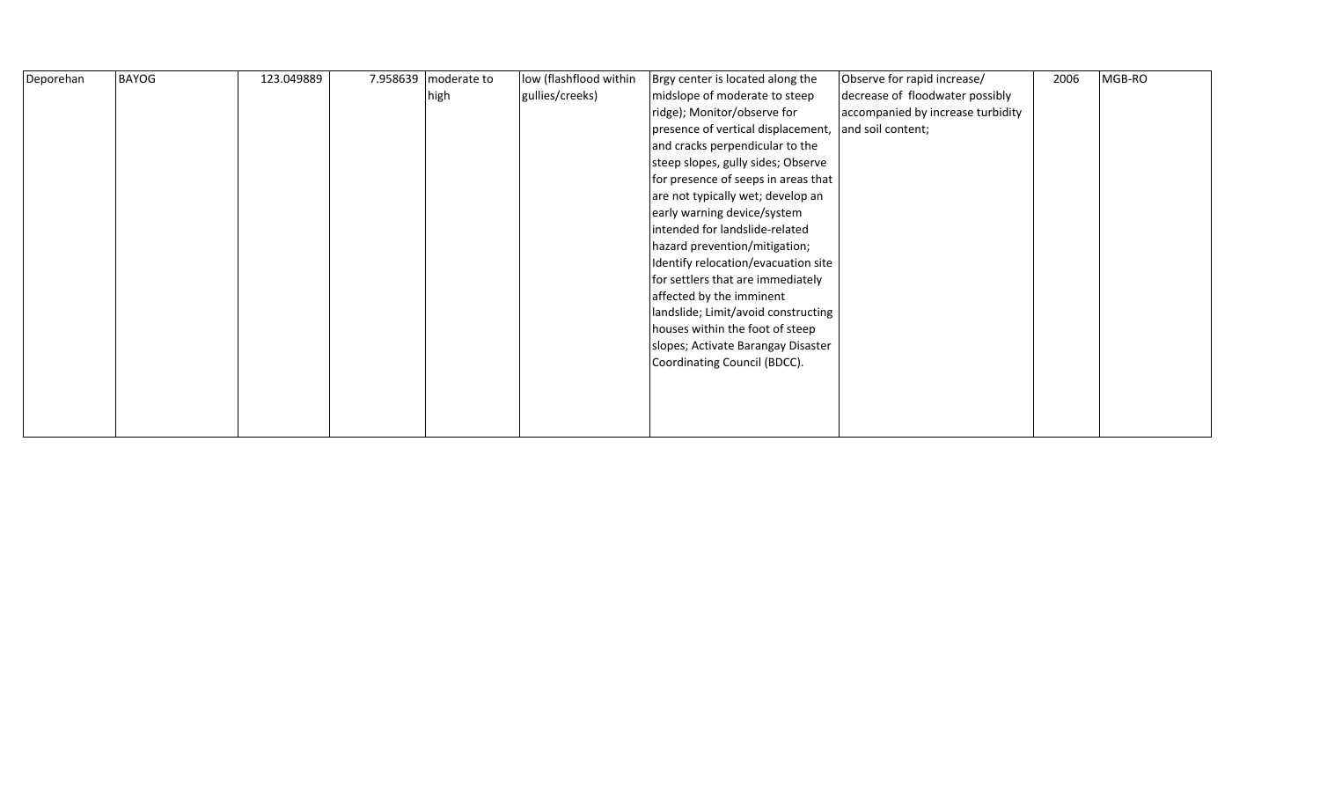| Deporehan | <b>BAYOG</b> | 123.049889 | 7.958639 moderate to | low (flashflood within | Brgy center is located along the    | Observe for rapid increase/       | 2006 | MGB-RO |
|-----------|--------------|------------|----------------------|------------------------|-------------------------------------|-----------------------------------|------|--------|
|           |              |            | high                 | gullies/creeks)        | midslope of moderate to steep       | decrease of floodwater possibly   |      |        |
|           |              |            |                      |                        | ridge); Monitor/observe for         | accompanied by increase turbidity |      |        |
|           |              |            |                      |                        | presence of vertical displacement,  | and soil content;                 |      |        |
|           |              |            |                      |                        | and cracks perpendicular to the     |                                   |      |        |
|           |              |            |                      |                        | steep slopes, gully sides; Observe  |                                   |      |        |
|           |              |            |                      |                        | for presence of seeps in areas that |                                   |      |        |
|           |              |            |                      |                        | are not typically wet; develop an   |                                   |      |        |
|           |              |            |                      |                        | early warning device/system         |                                   |      |        |
|           |              |            |                      |                        | intended for landslide-related      |                                   |      |        |
|           |              |            |                      |                        | hazard prevention/mitigation;       |                                   |      |        |
|           |              |            |                      |                        | Identify relocation/evacuation site |                                   |      |        |
|           |              |            |                      |                        | for settlers that are immediately   |                                   |      |        |
|           |              |            |                      |                        | affected by the imminent            |                                   |      |        |
|           |              |            |                      |                        | landslide; Limit/avoid constructing |                                   |      |        |
|           |              |            |                      |                        | houses within the foot of steep     |                                   |      |        |
|           |              |            |                      |                        | slopes; Activate Barangay Disaster  |                                   |      |        |
|           |              |            |                      |                        | Coordinating Council (BDCC).        |                                   |      |        |
|           |              |            |                      |                        |                                     |                                   |      |        |
|           |              |            |                      |                        |                                     |                                   |      |        |
|           |              |            |                      |                        |                                     |                                   |      |        |
|           |              |            |                      |                        |                                     |                                   |      |        |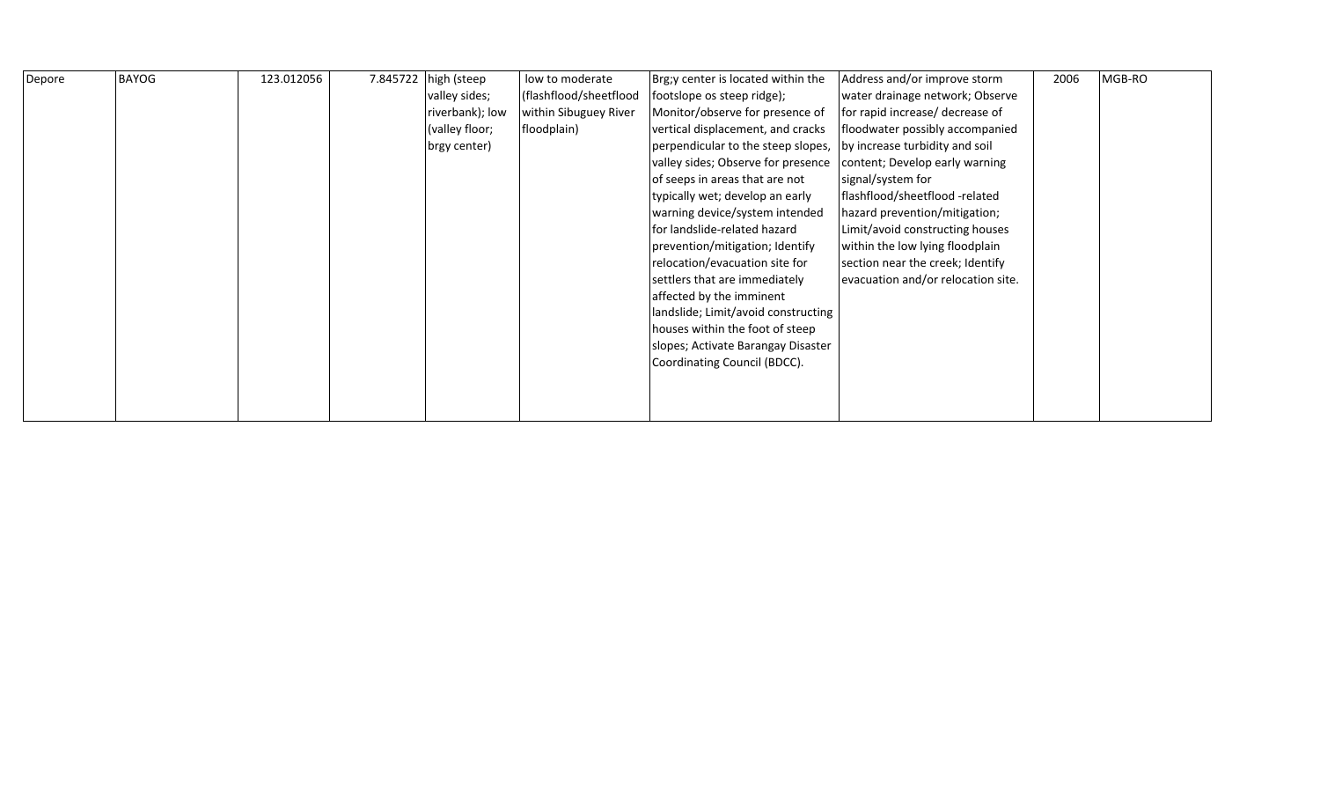| Depore | <b>BAYOG</b> | 123.012056 | 7.845722 | high (steep     | low to moderate        | Brg;y center is located within the  | Address and/or improve storm       | 2006 | MGB-RO |
|--------|--------------|------------|----------|-----------------|------------------------|-------------------------------------|------------------------------------|------|--------|
|        |              |            |          | valley sides;   | (flashflood/sheetflood | footslope os steep ridge);          | water drainage network; Observe    |      |        |
|        |              |            |          | riverbank); low | within Sibuguey River  | Monitor/observe for presence of     | for rapid increase/ decrease of    |      |        |
|        |              |            |          | (valley floor;  | floodplain)            | vertical displacement, and cracks   | floodwater possibly accompanied    |      |        |
|        |              |            |          | brgy center)    |                        | perpendicular to the steep slopes,  | by increase turbidity and soil     |      |        |
|        |              |            |          |                 |                        | valley sides; Observe for presence  | content; Develop early warning     |      |        |
|        |              |            |          |                 |                        | of seeps in areas that are not      | signal/system for                  |      |        |
|        |              |            |          |                 |                        | typically wet; develop an early     | flashflood/sheetflood-related      |      |        |
|        |              |            |          |                 |                        | warning device/system intended      | hazard prevention/mitigation;      |      |        |
|        |              |            |          |                 |                        | for landslide-related hazard        | Limit/avoid constructing houses    |      |        |
|        |              |            |          |                 |                        | prevention/mitigation; Identify     | within the low lying floodplain    |      |        |
|        |              |            |          |                 |                        | relocation/evacuation site for      | section near the creek; Identify   |      |        |
|        |              |            |          |                 |                        | settlers that are immediately       | evacuation and/or relocation site. |      |        |
|        |              |            |          |                 |                        | affected by the imminent            |                                    |      |        |
|        |              |            |          |                 |                        | landslide; Limit/avoid constructing |                                    |      |        |
|        |              |            |          |                 |                        | houses within the foot of steep     |                                    |      |        |
|        |              |            |          |                 |                        | slopes; Activate Barangay Disaster  |                                    |      |        |
|        |              |            |          |                 |                        | Coordinating Council (BDCC).        |                                    |      |        |
|        |              |            |          |                 |                        |                                     |                                    |      |        |
|        |              |            |          |                 |                        |                                     |                                    |      |        |
|        |              |            |          |                 |                        |                                     |                                    |      |        |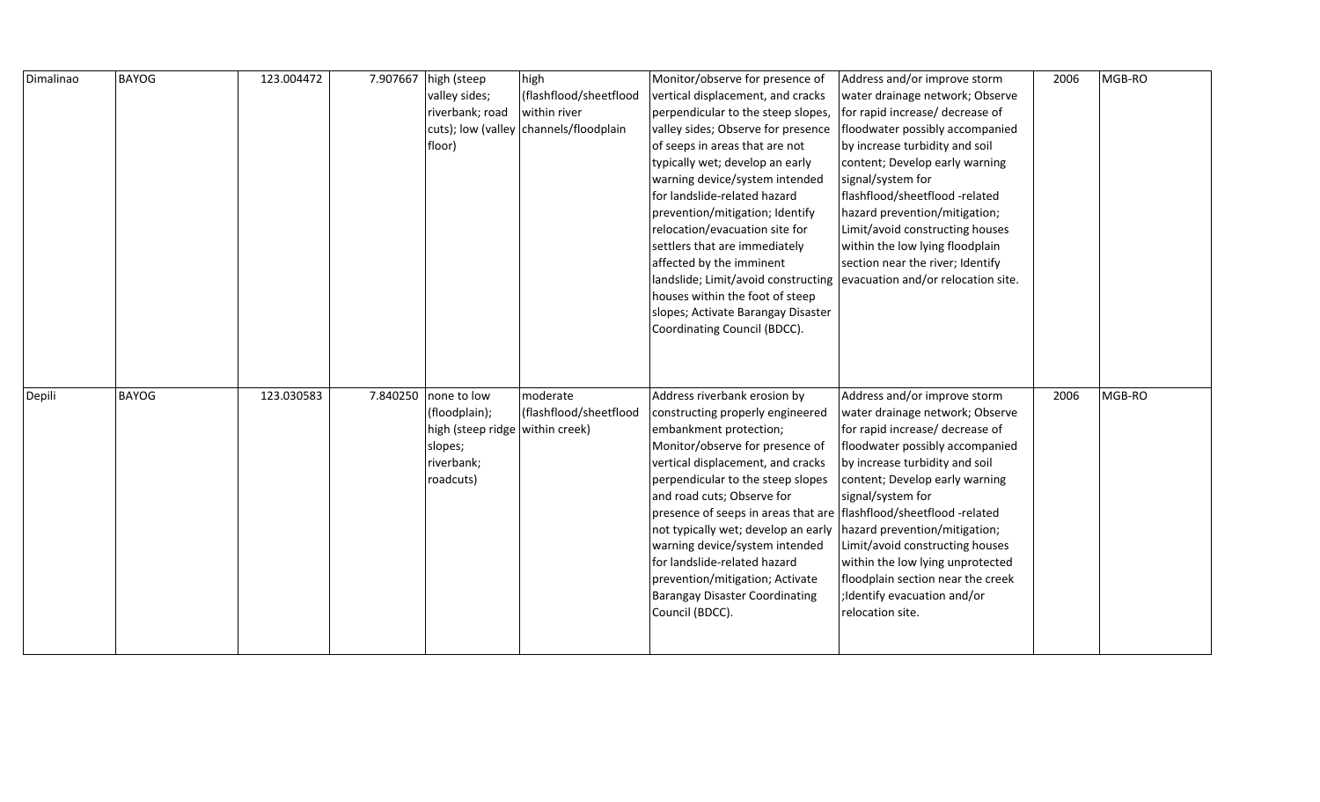| Dimalinao | <b>BAYOG</b> | 123.004472 | 7.907667 | high (steep                     | high                                   | Monitor/observe for presence of                                      | Address and/or improve storm       | 2006 | MGB-RO |
|-----------|--------------|------------|----------|---------------------------------|----------------------------------------|----------------------------------------------------------------------|------------------------------------|------|--------|
|           |              |            |          | valley sides;                   | (flashflood/sheetflood                 | vertical displacement, and cracks                                    | water drainage network; Observe    |      |        |
|           |              |            |          | riverbank; road                 | within river                           | perpendicular to the steep slopes,                                   | for rapid increase/ decrease of    |      |        |
|           |              |            |          |                                 | cuts); low (valley channels/floodplain | valley sides; Observe for presence                                   | floodwater possibly accompanied    |      |        |
|           |              |            |          | floor)                          |                                        | of seeps in areas that are not                                       | by increase turbidity and soil     |      |        |
|           |              |            |          |                                 |                                        | typically wet; develop an early                                      | content; Develop early warning     |      |        |
|           |              |            |          |                                 |                                        | warning device/system intended                                       | signal/system for                  |      |        |
|           |              |            |          |                                 |                                        | for landslide-related hazard                                         | flashflood/sheetflood-related      |      |        |
|           |              |            |          |                                 |                                        | prevention/mitigation; Identify                                      | hazard prevention/mitigation;      |      |        |
|           |              |            |          |                                 |                                        | relocation/evacuation site for                                       | Limit/avoid constructing houses    |      |        |
|           |              |            |          |                                 |                                        | settlers that are immediately                                        | within the low lying floodplain    |      |        |
|           |              |            |          |                                 |                                        | affected by the imminent                                             | section near the river; Identify   |      |        |
|           |              |            |          |                                 |                                        | landslide; Limit/avoid constructing                                  | evacuation and/or relocation site. |      |        |
|           |              |            |          |                                 |                                        | houses within the foot of steep                                      |                                    |      |        |
|           |              |            |          |                                 |                                        | slopes; Activate Barangay Disaster                                   |                                    |      |        |
|           |              |            |          |                                 |                                        | Coordinating Council (BDCC).                                         |                                    |      |        |
|           |              |            |          |                                 |                                        |                                                                      |                                    |      |        |
|           |              |            |          |                                 |                                        |                                                                      |                                    |      |        |
|           |              |            |          |                                 |                                        |                                                                      |                                    |      |        |
| Depili    |              |            |          |                                 |                                        |                                                                      |                                    |      |        |
|           | <b>BAYOG</b> | 123.030583 |          | 7.840250 none to low            | moderate                               | Address riverbank erosion by                                         | Address and/or improve storm       | 2006 | MGB-RO |
|           |              |            |          | (floodplain);                   | (flashflood/sheetflood                 | constructing properly engineered                                     | water drainage network; Observe    |      |        |
|           |              |            |          | high (steep ridge within creek) |                                        | embankment protection;                                               | for rapid increase/ decrease of    |      |        |
|           |              |            |          | slopes;                         |                                        | Monitor/observe for presence of                                      | floodwater possibly accompanied    |      |        |
|           |              |            |          | riverbank;                      |                                        | vertical displacement, and cracks                                    | by increase turbidity and soil     |      |        |
|           |              |            |          | roadcuts)                       |                                        | perpendicular to the steep slopes                                    | content; Develop early warning     |      |        |
|           |              |            |          |                                 |                                        | and road cuts; Observe for                                           | signal/system for                  |      |        |
|           |              |            |          |                                 |                                        | presence of seeps in areas that are   flashflood/sheetflood -related |                                    |      |        |
|           |              |            |          |                                 |                                        | not typically wet; develop an early                                  | hazard prevention/mitigation;      |      |        |
|           |              |            |          |                                 |                                        | warning device/system intended                                       | Limit/avoid constructing houses    |      |        |
|           |              |            |          |                                 |                                        | for landslide-related hazard                                         | within the low lying unprotected   |      |        |
|           |              |            |          |                                 |                                        | prevention/mitigation; Activate                                      | floodplain section near the creek  |      |        |
|           |              |            |          |                                 |                                        | <b>Barangay Disaster Coordinating</b>                                | ;Identify evacuation and/or        |      |        |
|           |              |            |          |                                 |                                        | Council (BDCC).                                                      | relocation site.                   |      |        |
|           |              |            |          |                                 |                                        |                                                                      |                                    |      |        |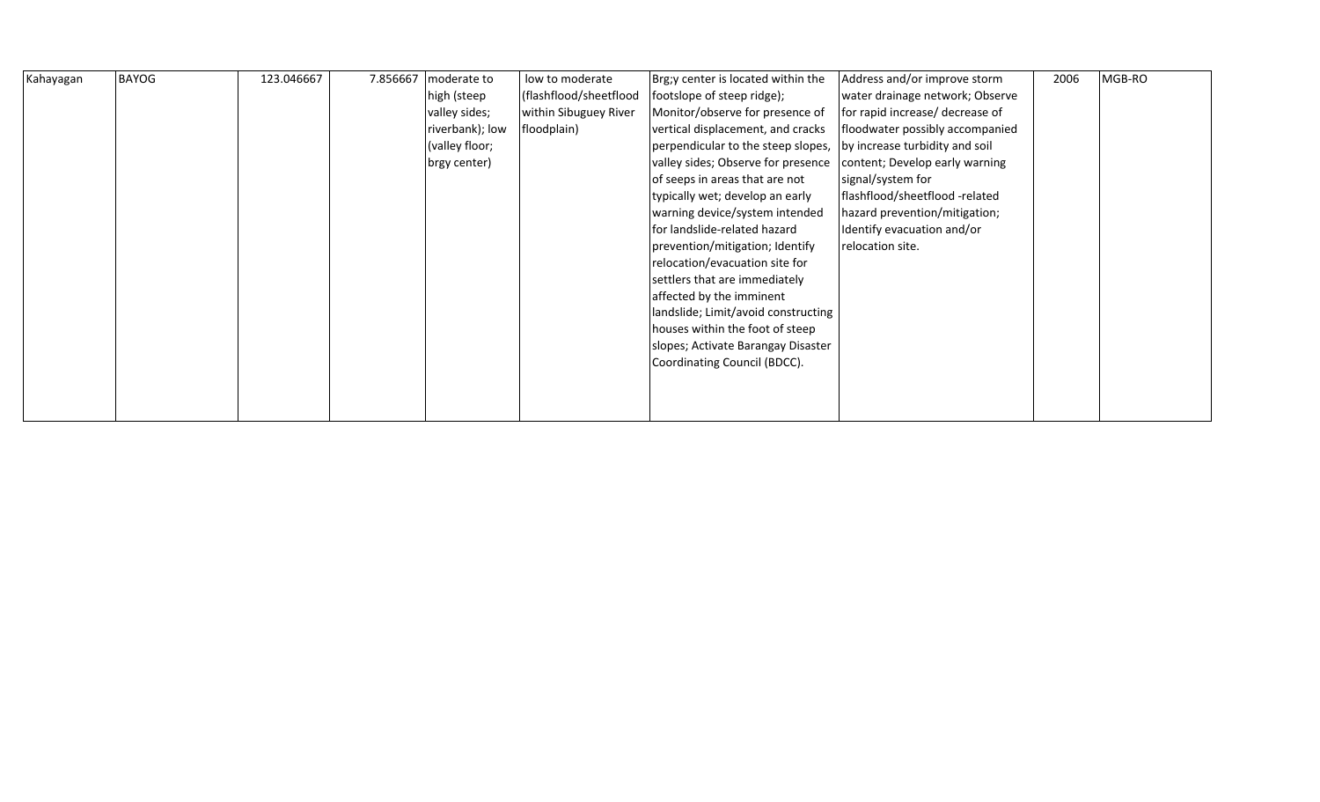| Kahayagan | <b>BAYOG</b> | 123.046667 | 7.856667 | moderate to     | low to moderate        | Brg;y center is located within the  | Address and/or improve storm    | 2006 | MGB-RO |
|-----------|--------------|------------|----------|-----------------|------------------------|-------------------------------------|---------------------------------|------|--------|
|           |              |            |          | high (steep     | (flashflood/sheetflood | footslope of steep ridge);          | water drainage network; Observe |      |        |
|           |              |            |          | valley sides;   | within Sibuguey River  | Monitor/observe for presence of     | for rapid increase/ decrease of |      |        |
|           |              |            |          | riverbank); low | floodplain)            | vertical displacement, and cracks   | floodwater possibly accompanied |      |        |
|           |              |            |          | (valley floor;  |                        | perpendicular to the steep slopes,  | by increase turbidity and soil  |      |        |
|           |              |            |          | brgy center)    |                        | valley sides; Observe for presence  | content; Develop early warning  |      |        |
|           |              |            |          |                 |                        | of seeps in areas that are not      | signal/system for               |      |        |
|           |              |            |          |                 |                        | typically wet; develop an early     | flashflood/sheetflood-related   |      |        |
|           |              |            |          |                 |                        | warning device/system intended      | hazard prevention/mitigation;   |      |        |
|           |              |            |          |                 |                        | for landslide-related hazard        | Identify evacuation and/or      |      |        |
|           |              |            |          |                 |                        | prevention/mitigation; Identify     | relocation site.                |      |        |
|           |              |            |          |                 |                        | relocation/evacuation site for      |                                 |      |        |
|           |              |            |          |                 |                        | settlers that are immediately       |                                 |      |        |
|           |              |            |          |                 |                        | affected by the imminent            |                                 |      |        |
|           |              |            |          |                 |                        | landslide; Limit/avoid constructing |                                 |      |        |
|           |              |            |          |                 |                        | houses within the foot of steep     |                                 |      |        |
|           |              |            |          |                 |                        | slopes; Activate Barangay Disaster  |                                 |      |        |
|           |              |            |          |                 |                        | Coordinating Council (BDCC).        |                                 |      |        |
|           |              |            |          |                 |                        |                                     |                                 |      |        |
|           |              |            |          |                 |                        |                                     |                                 |      |        |
|           |              |            |          |                 |                        |                                     |                                 |      |        |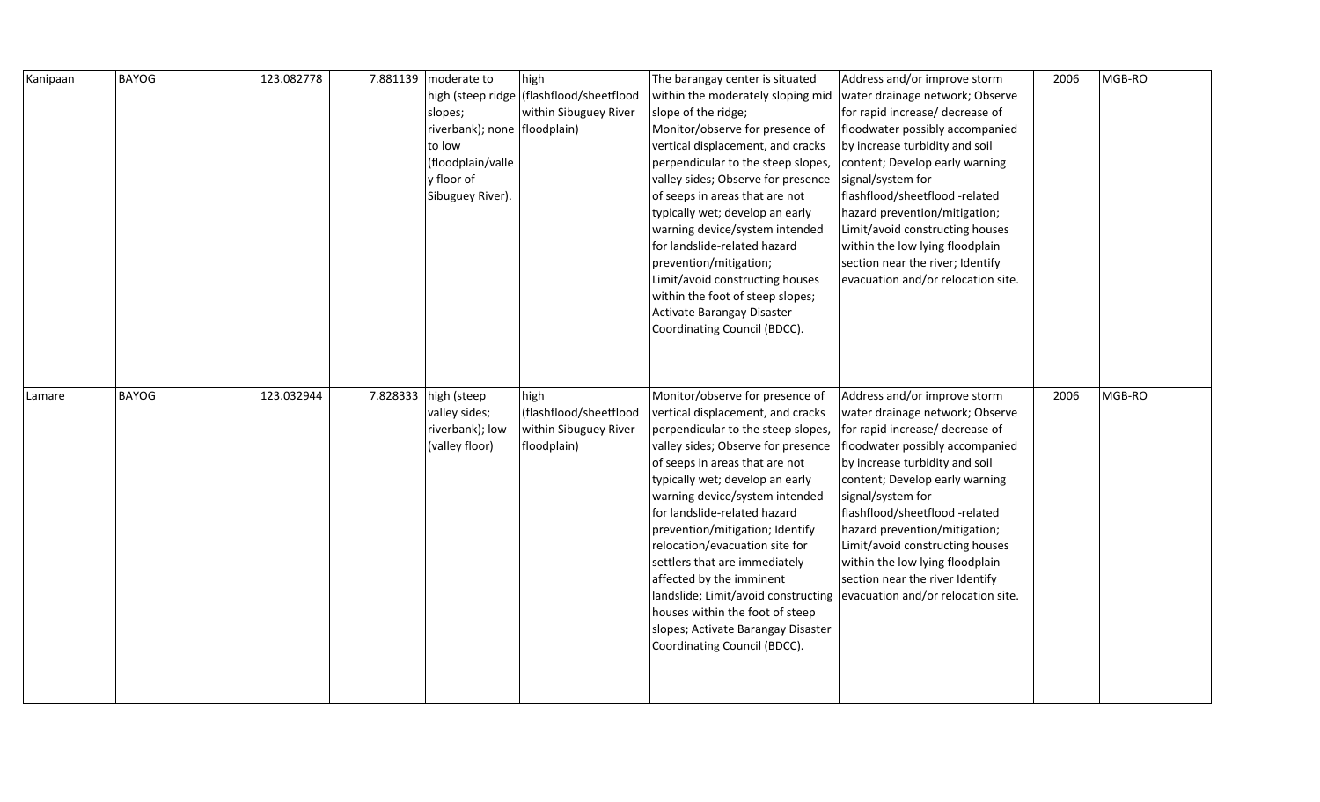| Kanipaan | <b>BAYOG</b> | 123.082778 | 7.881139 moderate to         | high                                       | The barangay center is situated     | Address and/or improve storm       | 2006 | MGB-RO |
|----------|--------------|------------|------------------------------|--------------------------------------------|-------------------------------------|------------------------------------|------|--------|
|          |              |            |                              | high (steep ridge   (flashflood/sheetflood | within the moderately sloping mid   | water drainage network; Observe    |      |        |
|          |              |            | slopes;                      | within Sibuguey River                      | slope of the ridge;                 | for rapid increase/ decrease of    |      |        |
|          |              |            | riverbank); none floodplain) |                                            | Monitor/observe for presence of     | floodwater possibly accompanied    |      |        |
|          |              |            | to low                       |                                            | vertical displacement, and cracks   | by increase turbidity and soil     |      |        |
|          |              |            | (floodplain/valle            |                                            | perpendicular to the steep slopes,  | content; Develop early warning     |      |        |
|          |              |            | y floor of                   |                                            | valley sides; Observe for presence  | signal/system for                  |      |        |
|          |              |            | Sibuguey River).             |                                            | of seeps in areas that are not      | flashflood/sheetflood -related     |      |        |
|          |              |            |                              |                                            | typically wet; develop an early     | hazard prevention/mitigation;      |      |        |
|          |              |            |                              |                                            | warning device/system intended      | Limit/avoid constructing houses    |      |        |
|          |              |            |                              |                                            | for landslide-related hazard        | within the low lying floodplain    |      |        |
|          |              |            |                              |                                            | prevention/mitigation;              | section near the river; Identify   |      |        |
|          |              |            |                              |                                            | Limit/avoid constructing houses     | evacuation and/or relocation site. |      |        |
|          |              |            |                              |                                            | within the foot of steep slopes;    |                                    |      |        |
|          |              |            |                              |                                            | Activate Barangay Disaster          |                                    |      |        |
|          |              |            |                              |                                            | Coordinating Council (BDCC).        |                                    |      |        |
|          |              |            |                              |                                            |                                     |                                    |      |        |
|          |              |            |                              |                                            |                                     |                                    |      |        |
|          |              |            |                              |                                            |                                     |                                    |      |        |
|          |              |            |                              |                                            |                                     |                                    |      |        |
| Lamare   | <b>BAYOG</b> | 123.032944 | 7.828333 high (steep         | high                                       | Monitor/observe for presence of     | Address and/or improve storm       | 2006 | MGB-RO |
|          |              |            | valley sides;                | (flashflood/sheetflood                     | vertical displacement, and cracks   | water drainage network; Observe    |      |        |
|          |              |            | riverbank); low              | within Sibuguey River                      | perpendicular to the steep slopes,  | for rapid increase/ decrease of    |      |        |
|          |              |            | (valley floor)               | floodplain)                                | valley sides; Observe for presence  | floodwater possibly accompanied    |      |        |
|          |              |            |                              |                                            | of seeps in areas that are not      | by increase turbidity and soil     |      |        |
|          |              |            |                              |                                            | typically wet; develop an early     | content; Develop early warning     |      |        |
|          |              |            |                              |                                            | warning device/system intended      | signal/system for                  |      |        |
|          |              |            |                              |                                            | for landslide-related hazard        | flashflood/sheetflood -related     |      |        |
|          |              |            |                              |                                            | prevention/mitigation; Identify     | hazard prevention/mitigation;      |      |        |
|          |              |            |                              |                                            | relocation/evacuation site for      | Limit/avoid constructing houses    |      |        |
|          |              |            |                              |                                            | settlers that are immediately       | within the low lying floodplain    |      |        |
|          |              |            |                              |                                            | affected by the imminent            | section near the river Identify    |      |        |
|          |              |            |                              |                                            | landslide; Limit/avoid constructing | evacuation and/or relocation site. |      |        |
|          |              |            |                              |                                            | houses within the foot of steep     |                                    |      |        |
|          |              |            |                              |                                            | slopes; Activate Barangay Disaster  |                                    |      |        |
|          |              |            |                              |                                            | Coordinating Council (BDCC).        |                                    |      |        |
|          |              |            |                              |                                            |                                     |                                    |      |        |
|          |              |            |                              |                                            |                                     |                                    |      |        |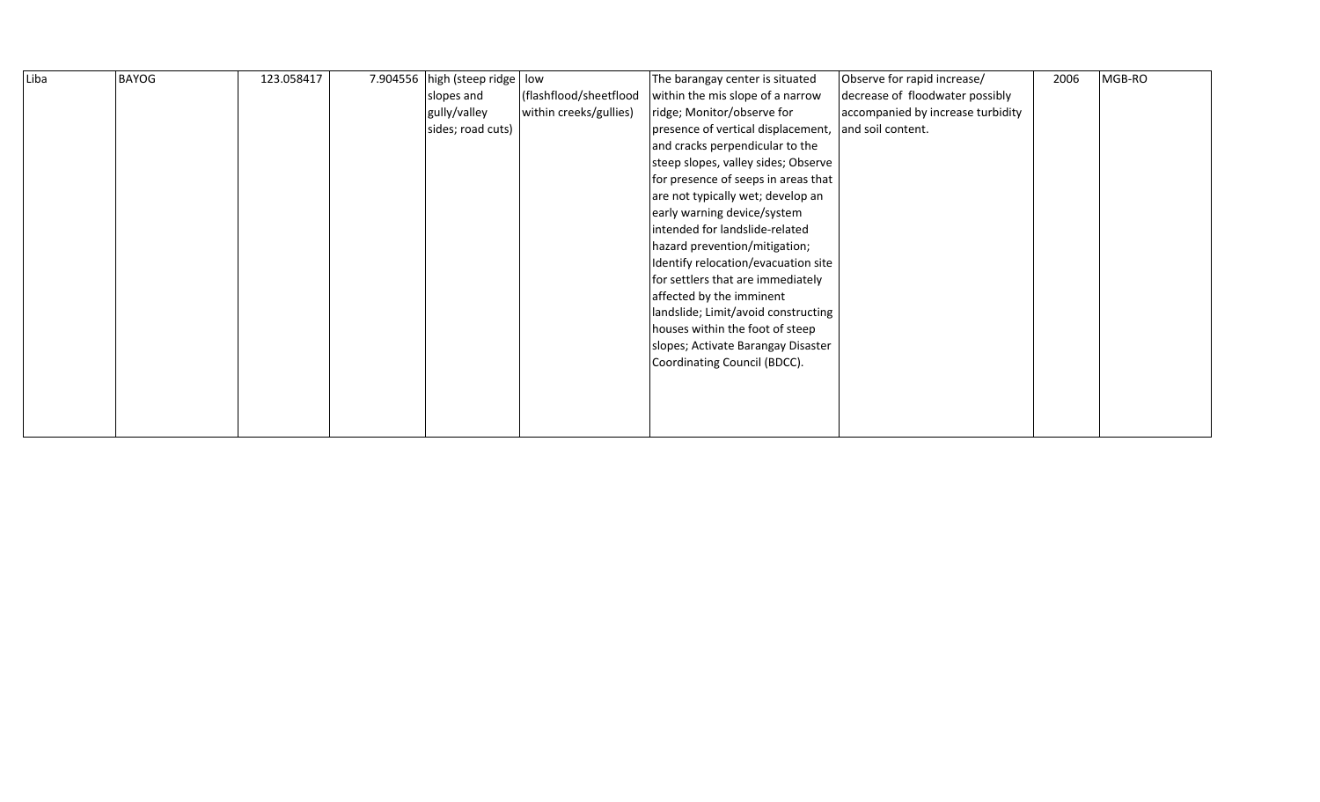| Liba | <b>BAYOG</b> | 123.058417 | 7.904556 high (steep ridge   low |                        | The barangay center is situated     | Observe for rapid increase/       | 2006 | MGB-RO |
|------|--------------|------------|----------------------------------|------------------------|-------------------------------------|-----------------------------------|------|--------|
|      |              |            | slopes and                       | (flashflood/sheetflood | within the mis slope of a narrow    | decrease of floodwater possibly   |      |        |
|      |              |            | gully/valley                     | within creeks/gullies) | ridge; Monitor/observe for          | accompanied by increase turbidity |      |        |
|      |              |            | sides; road cuts)                |                        | presence of vertical displacement,  | and soil content.                 |      |        |
|      |              |            |                                  |                        | and cracks perpendicular to the     |                                   |      |        |
|      |              |            |                                  |                        | steep slopes, valley sides; Observe |                                   |      |        |
|      |              |            |                                  |                        | for presence of seeps in areas that |                                   |      |        |
|      |              |            |                                  |                        | are not typically wet; develop an   |                                   |      |        |
|      |              |            |                                  |                        | early warning device/system         |                                   |      |        |
|      |              |            |                                  |                        | intended for landslide-related      |                                   |      |        |
|      |              |            |                                  |                        | hazard prevention/mitigation;       |                                   |      |        |
|      |              |            |                                  |                        | Identify relocation/evacuation site |                                   |      |        |
|      |              |            |                                  |                        | for settlers that are immediately   |                                   |      |        |
|      |              |            |                                  |                        | affected by the imminent            |                                   |      |        |
|      |              |            |                                  |                        | landslide; Limit/avoid constructing |                                   |      |        |
|      |              |            |                                  |                        | houses within the foot of steep     |                                   |      |        |
|      |              |            |                                  |                        | slopes; Activate Barangay Disaster  |                                   |      |        |
|      |              |            |                                  |                        | Coordinating Council (BDCC).        |                                   |      |        |
|      |              |            |                                  |                        |                                     |                                   |      |        |
|      |              |            |                                  |                        |                                     |                                   |      |        |
|      |              |            |                                  |                        |                                     |                                   |      |        |
|      |              |            |                                  |                        |                                     |                                   |      |        |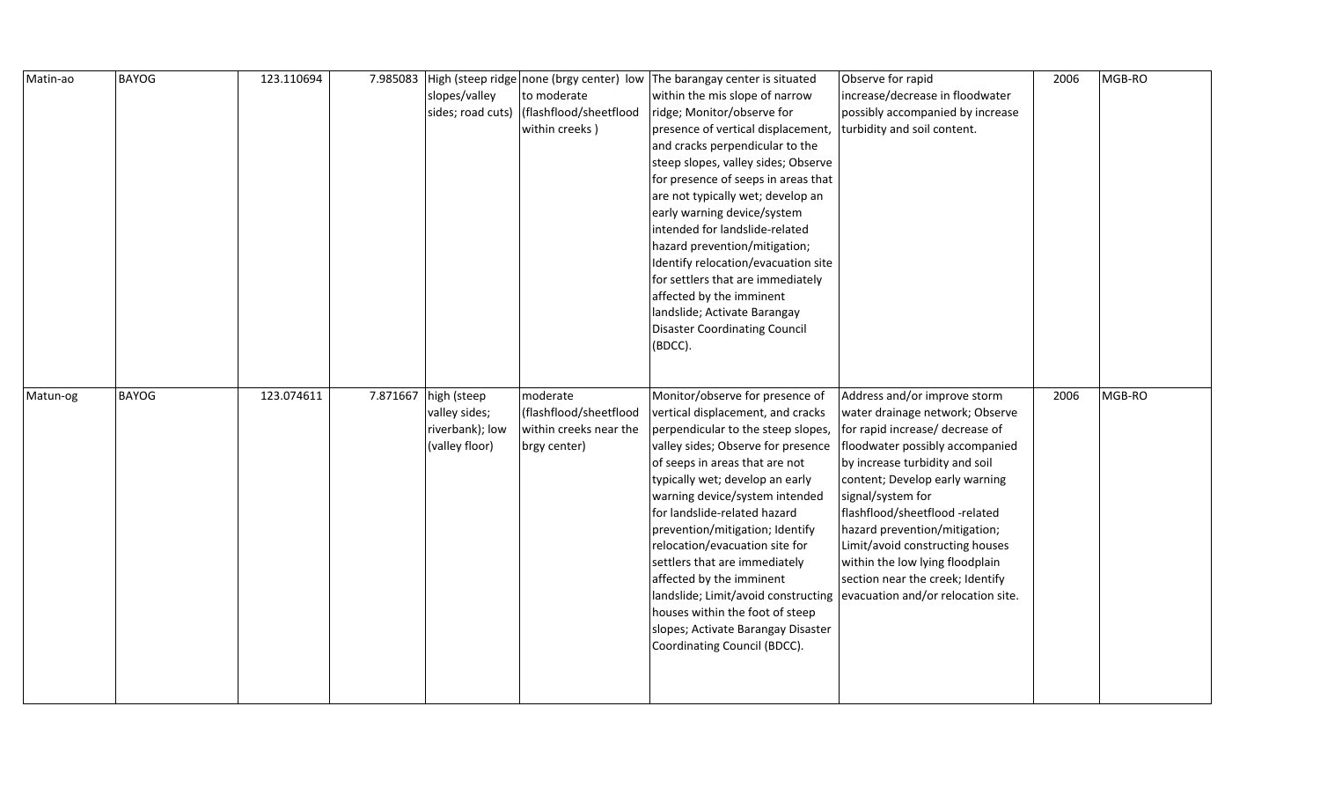| Matin-ao | <b>BAYOG</b> | 123.110694 |          |                 |                                          | 7.985083   High (steep ridge none (brgy center) low The barangay center is situated | Observe for rapid                  | 2006 | MGB-RO |
|----------|--------------|------------|----------|-----------------|------------------------------------------|-------------------------------------------------------------------------------------|------------------------------------|------|--------|
|          |              |            |          | slopes/valley   | to moderate                              | within the mis slope of narrow                                                      | increase/decrease in floodwater    |      |        |
|          |              |            |          |                 | sides; road cuts) (flashflood/sheetflood | ridge; Monitor/observe for                                                          | possibly accompanied by increase   |      |        |
|          |              |            |          |                 | within creeks)                           | presence of vertical displacement,                                                  | turbidity and soil content.        |      |        |
|          |              |            |          |                 |                                          | and cracks perpendicular to the                                                     |                                    |      |        |
|          |              |            |          |                 |                                          | steep slopes, valley sides; Observe                                                 |                                    |      |        |
|          |              |            |          |                 |                                          | for presence of seeps in areas that                                                 |                                    |      |        |
|          |              |            |          |                 |                                          | are not typically wet; develop an                                                   |                                    |      |        |
|          |              |            |          |                 |                                          | early warning device/system                                                         |                                    |      |        |
|          |              |            |          |                 |                                          | intended for landslide-related                                                      |                                    |      |        |
|          |              |            |          |                 |                                          | hazard prevention/mitigation;                                                       |                                    |      |        |
|          |              |            |          |                 |                                          | Identify relocation/evacuation site                                                 |                                    |      |        |
|          |              |            |          |                 |                                          | for settlers that are immediately                                                   |                                    |      |        |
|          |              |            |          |                 |                                          | affected by the imminent                                                            |                                    |      |        |
|          |              |            |          |                 |                                          | landslide; Activate Barangay                                                        |                                    |      |        |
|          |              |            |          |                 |                                          | <b>Disaster Coordinating Council</b>                                                |                                    |      |        |
|          |              |            |          |                 |                                          | (BDCC).                                                                             |                                    |      |        |
|          |              |            |          |                 |                                          |                                                                                     |                                    |      |        |
|          |              |            |          |                 |                                          |                                                                                     |                                    |      |        |
| Matun-og | <b>BAYOG</b> | 123.074611 | 7.871667 | high (steep     | moderate                                 | Monitor/observe for presence of                                                     | Address and/or improve storm       | 2006 | MGB-RO |
|          |              |            |          |                 |                                          |                                                                                     |                                    |      |        |
|          |              |            |          | valley sides;   | (flashflood/sheetflood                   | vertical displacement, and cracks                                                   | water drainage network; Observe    |      |        |
|          |              |            |          | riverbank); low | within creeks near the                   | perpendicular to the steep slopes,                                                  | for rapid increase/ decrease of    |      |        |
|          |              |            |          | (valley floor)  | brgy center)                             | valley sides; Observe for presence                                                  | floodwater possibly accompanied    |      |        |
|          |              |            |          |                 |                                          | of seeps in areas that are not                                                      | by increase turbidity and soil     |      |        |
|          |              |            |          |                 |                                          | typically wet; develop an early                                                     | content; Develop early warning     |      |        |
|          |              |            |          |                 |                                          | warning device/system intended                                                      | signal/system for                  |      |        |
|          |              |            |          |                 |                                          | for landslide-related hazard                                                        | flashflood/sheetflood -related     |      |        |
|          |              |            |          |                 |                                          | prevention/mitigation; Identify                                                     | hazard prevention/mitigation;      |      |        |
|          |              |            |          |                 |                                          | relocation/evacuation site for                                                      | Limit/avoid constructing houses    |      |        |
|          |              |            |          |                 |                                          | settlers that are immediately                                                       | within the low lying floodplain    |      |        |
|          |              |            |          |                 |                                          | affected by the imminent                                                            | section near the creek; Identify   |      |        |
|          |              |            |          |                 |                                          | landslide; Limit/avoid constructing                                                 | evacuation and/or relocation site. |      |        |
|          |              |            |          |                 |                                          | houses within the foot of steep                                                     |                                    |      |        |
|          |              |            |          |                 |                                          | slopes; Activate Barangay Disaster                                                  |                                    |      |        |
|          |              |            |          |                 |                                          | Coordinating Council (BDCC).                                                        |                                    |      |        |
|          |              |            |          |                 |                                          |                                                                                     |                                    |      |        |
|          |              |            |          |                 |                                          |                                                                                     |                                    |      |        |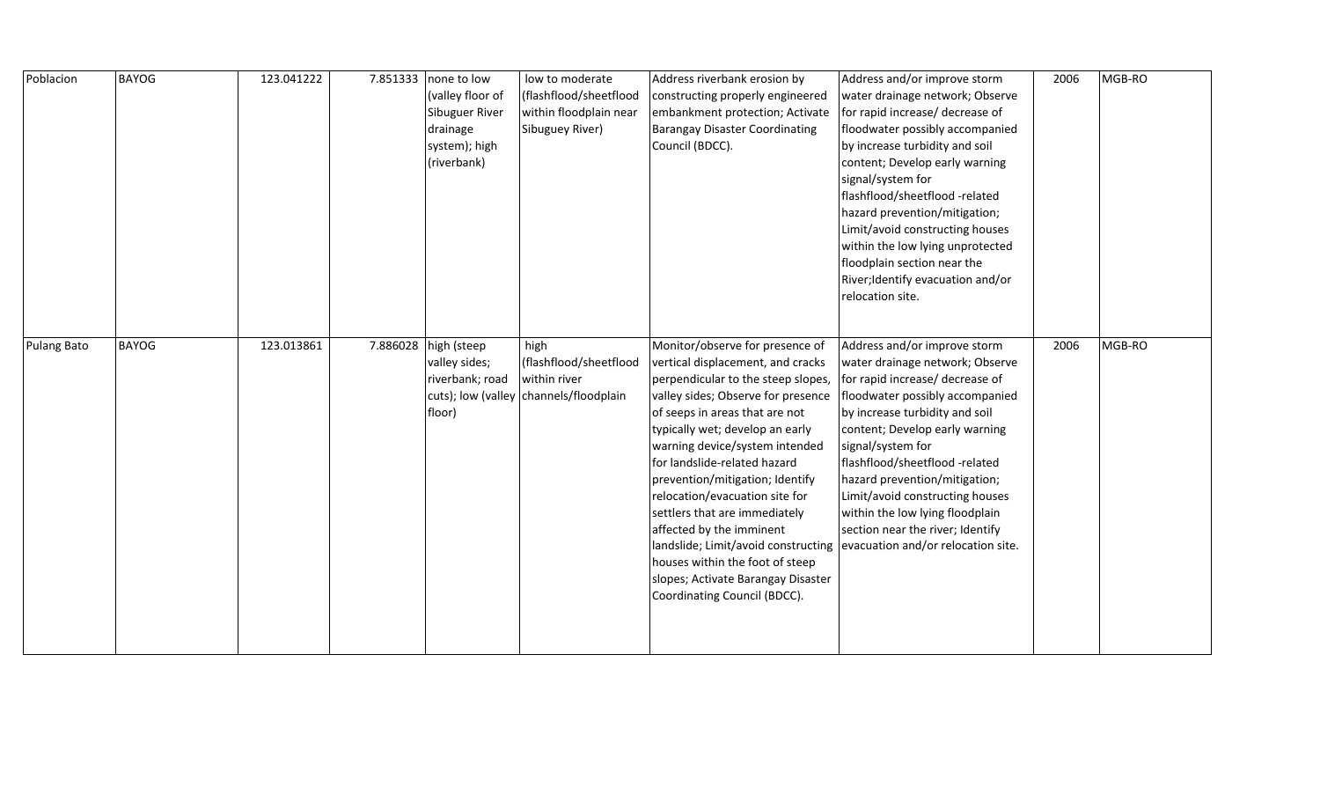| Poblacion          | <b>BAYOG</b> | 123.041222 | 7.851333 | none to low<br>(valley floor of<br>Sibuguer River<br>drainage<br>system); high<br>(riverbank) | low to moderate<br>(flashflood/sheetflood<br>within floodplain near<br>Sibuguey River)   | Address riverbank erosion by<br>constructing properly engineered<br>embankment protection; Activate<br><b>Barangay Disaster Coordinating</b><br>Council (BDCC).                                                                                                                                                                                                                                                                                                                                                                                                           | Address and/or improve storm<br>water drainage network; Observe<br>for rapid increase/ decrease of<br>floodwater possibly accompanied<br>by increase turbidity and soil<br>content; Develop early warning<br>signal/system for<br>flashflood/sheetflood-related<br>hazard prevention/mitigation;<br>Limit/avoid constructing houses<br>within the low lying unprotected<br>floodplain section near the<br>River; Identify evacuation and/or<br>relocation site. | 2006 | MGB-RO |
|--------------------|--------------|------------|----------|-----------------------------------------------------------------------------------------------|------------------------------------------------------------------------------------------|---------------------------------------------------------------------------------------------------------------------------------------------------------------------------------------------------------------------------------------------------------------------------------------------------------------------------------------------------------------------------------------------------------------------------------------------------------------------------------------------------------------------------------------------------------------------------|-----------------------------------------------------------------------------------------------------------------------------------------------------------------------------------------------------------------------------------------------------------------------------------------------------------------------------------------------------------------------------------------------------------------------------------------------------------------|------|--------|
| <b>Pulang Bato</b> | <b>BAYOG</b> | 123.013861 | 7.886028 | high (steep<br>valley sides;<br>riverbank; road<br>floor)                                     | high<br>(flashflood/sheetflood<br>within river<br>cuts); low (valley channels/floodplain | Monitor/observe for presence of<br>vertical displacement, and cracks<br>perpendicular to the steep slopes,<br>valley sides; Observe for presence<br>of seeps in areas that are not<br>typically wet; develop an early<br>warning device/system intended<br>for landslide-related hazard<br>prevention/mitigation; Identify<br>relocation/evacuation site for<br>settlers that are immediately<br>affected by the imminent<br>landslide; Limit/avoid constructing<br>houses within the foot of steep<br>slopes; Activate Barangay Disaster<br>Coordinating Council (BDCC). | Address and/or improve storm<br>water drainage network; Observe<br>for rapid increase/ decrease of<br>floodwater possibly accompanied<br>by increase turbidity and soil<br>content; Develop early warning<br>signal/system for<br>flashflood/sheetflood-related<br>hazard prevention/mitigation;<br>Limit/avoid constructing houses<br>within the low lying floodplain<br>section near the river; Identify<br>evacuation and/or relocation site.                | 2006 | MGB-RO |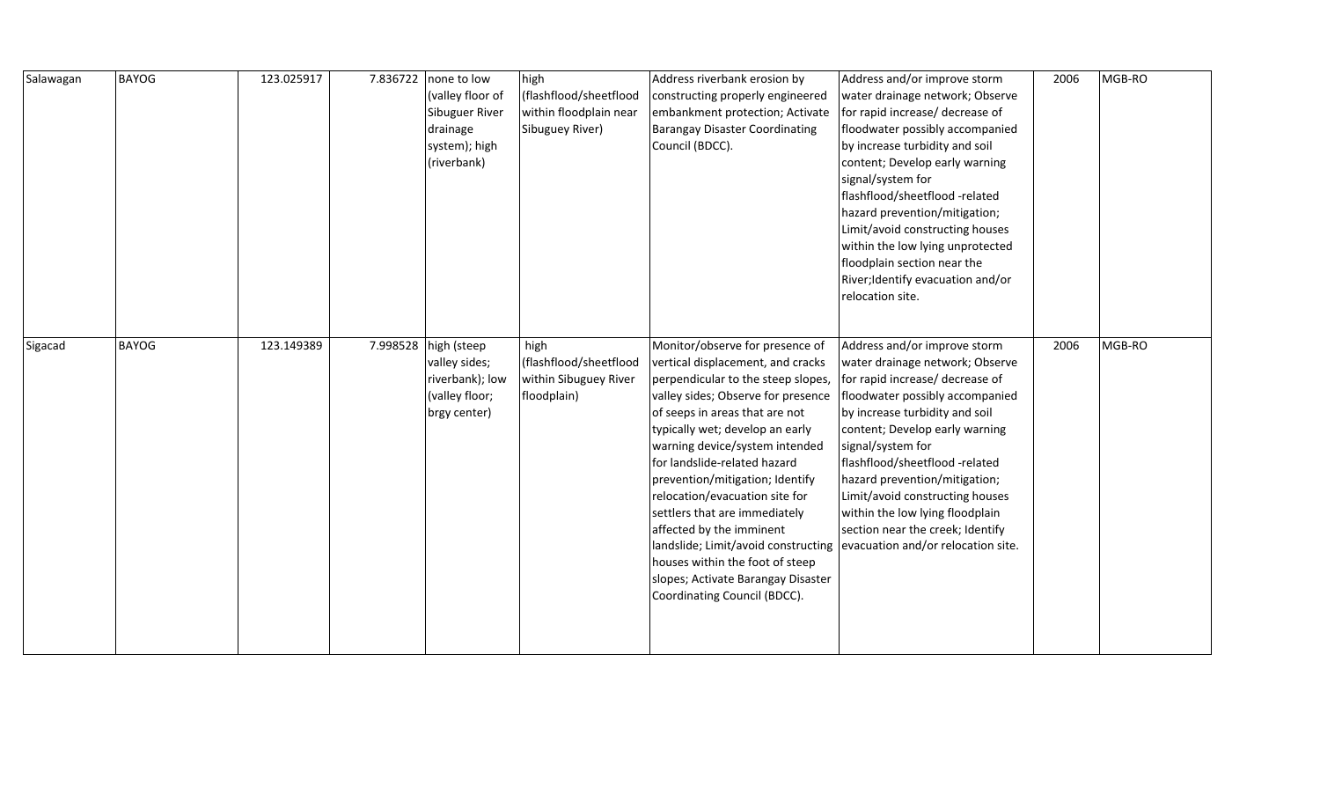| Salawagan | <b>BAYOG</b> | 123.025917 | 7.836722 | none to low<br>(valley floor of<br>Sibuguer River<br>drainage<br>system); high<br>(riverbank) | high<br>(flashflood/sheetflood<br>within floodplain near<br>Sibuguey River) | Address riverbank erosion by<br>constructing properly engineered<br>embankment protection; Activate<br><b>Barangay Disaster Coordinating</b><br>Council (BDCC).                                                                                                                                                                                                                                                                                                                                                                                                           | Address and/or improve storm<br>water drainage network; Observe<br>for rapid increase/ decrease of<br>floodwater possibly accompanied<br>by increase turbidity and soil<br>content; Develop early warning<br>signal/system for<br>flashflood/sheetflood -related<br>hazard prevention/mitigation;<br>Limit/avoid constructing houses<br>within the low lying unprotected<br>floodplain section near the<br>River; Identify evacuation and/or<br>relocation site. | 2006 | MGB-RO |
|-----------|--------------|------------|----------|-----------------------------------------------------------------------------------------------|-----------------------------------------------------------------------------|---------------------------------------------------------------------------------------------------------------------------------------------------------------------------------------------------------------------------------------------------------------------------------------------------------------------------------------------------------------------------------------------------------------------------------------------------------------------------------------------------------------------------------------------------------------------------|------------------------------------------------------------------------------------------------------------------------------------------------------------------------------------------------------------------------------------------------------------------------------------------------------------------------------------------------------------------------------------------------------------------------------------------------------------------|------|--------|
| Sigacad   | <b>BAYOG</b> | 123.149389 | 7.998528 | high (steep<br>valley sides;<br>riverbank); low<br>(valley floor;<br>brgy center)             | high<br>(flashflood/sheetflood<br>within Sibuguey River<br>floodplain)      | Monitor/observe for presence of<br>vertical displacement, and cracks<br>perpendicular to the steep slopes,<br>valley sides; Observe for presence<br>of seeps in areas that are not<br>typically wet; develop an early<br>warning device/system intended<br>for landslide-related hazard<br>prevention/mitigation; Identify<br>relocation/evacuation site for<br>settlers that are immediately<br>affected by the imminent<br>landslide; Limit/avoid constructing<br>houses within the foot of steep<br>slopes; Activate Barangay Disaster<br>Coordinating Council (BDCC). | Address and/or improve storm<br>water drainage network; Observe<br>for rapid increase/ decrease of<br>floodwater possibly accompanied<br>by increase turbidity and soil<br>content; Develop early warning<br>signal/system for<br>flashflood/sheetflood-related<br>hazard prevention/mitigation;<br>Limit/avoid constructing houses<br>within the low lying floodplain<br>section near the creek; Identify<br>evacuation and/or relocation site.                 | 2006 | MGB-RO |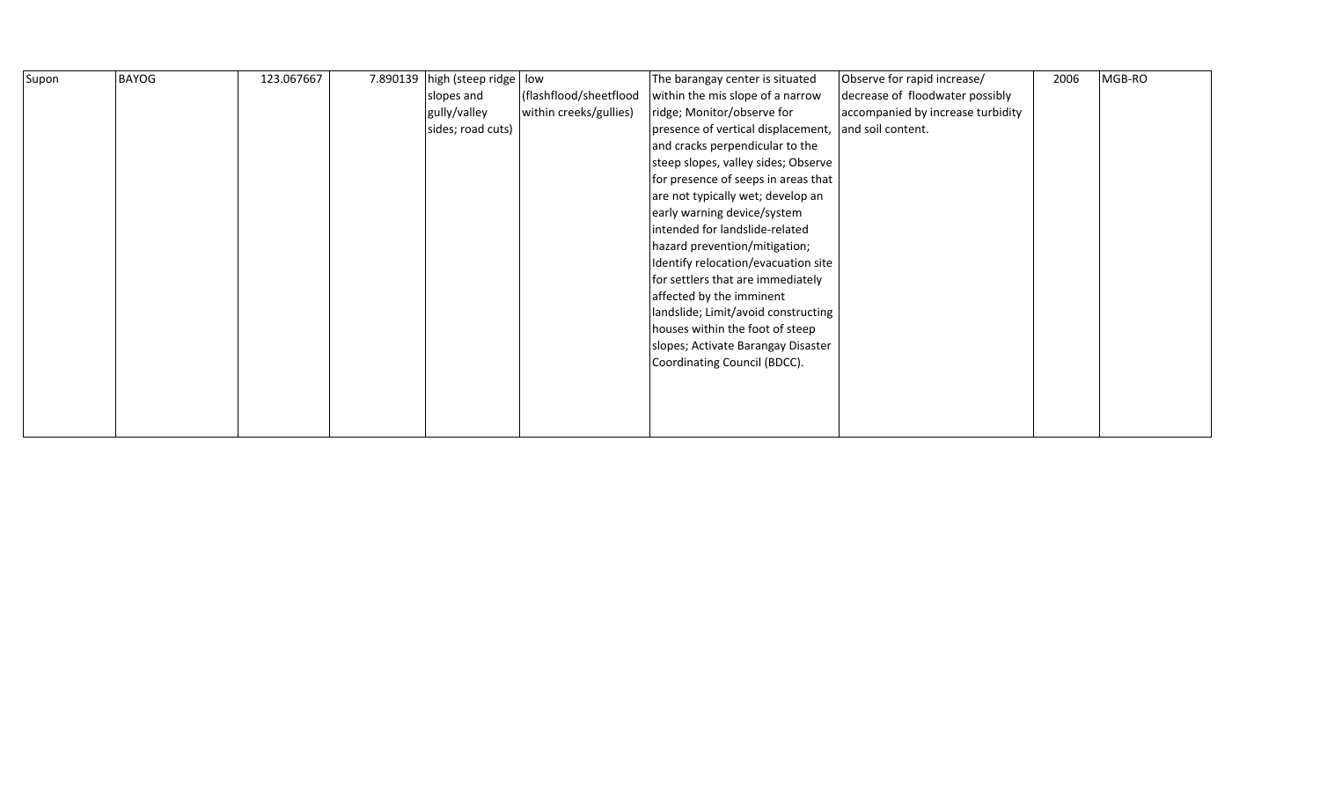| Supon | <b>BAYOG</b> | 123.067667 | 7.890139 high (steep ridge   low |                        | The barangay center is situated     | Observe for rapid increase/       | 2006 | MGB-RO |
|-------|--------------|------------|----------------------------------|------------------------|-------------------------------------|-----------------------------------|------|--------|
|       |              |            | slopes and                       | (flashflood/sheetflood | within the mis slope of a narrow    | decrease of floodwater possibly   |      |        |
|       |              |            | gully/valley                     | within creeks/gullies) | ridge; Monitor/observe for          | accompanied by increase turbidity |      |        |
|       |              |            | sides; road cuts)                |                        | presence of vertical displacement,  | and soil content.                 |      |        |
|       |              |            |                                  |                        | and cracks perpendicular to the     |                                   |      |        |
|       |              |            |                                  |                        | steep slopes, valley sides; Observe |                                   |      |        |
|       |              |            |                                  |                        | for presence of seeps in areas that |                                   |      |        |
|       |              |            |                                  |                        | are not typically wet; develop an   |                                   |      |        |
|       |              |            |                                  |                        | early warning device/system         |                                   |      |        |
|       |              |            |                                  |                        | intended for landslide-related      |                                   |      |        |
|       |              |            |                                  |                        | hazard prevention/mitigation;       |                                   |      |        |
|       |              |            |                                  |                        | Identify relocation/evacuation site |                                   |      |        |
|       |              |            |                                  |                        | for settlers that are immediately   |                                   |      |        |
|       |              |            |                                  |                        | affected by the imminent            |                                   |      |        |
|       |              |            |                                  |                        | landslide; Limit/avoid constructing |                                   |      |        |
|       |              |            |                                  |                        | houses within the foot of steep     |                                   |      |        |
|       |              |            |                                  |                        | slopes; Activate Barangay Disaster  |                                   |      |        |
|       |              |            |                                  |                        | Coordinating Council (BDCC).        |                                   |      |        |
|       |              |            |                                  |                        |                                     |                                   |      |        |
|       |              |            |                                  |                        |                                     |                                   |      |        |
|       |              |            |                                  |                        |                                     |                                   |      |        |
|       |              |            |                                  |                        |                                     |                                   |      |        |